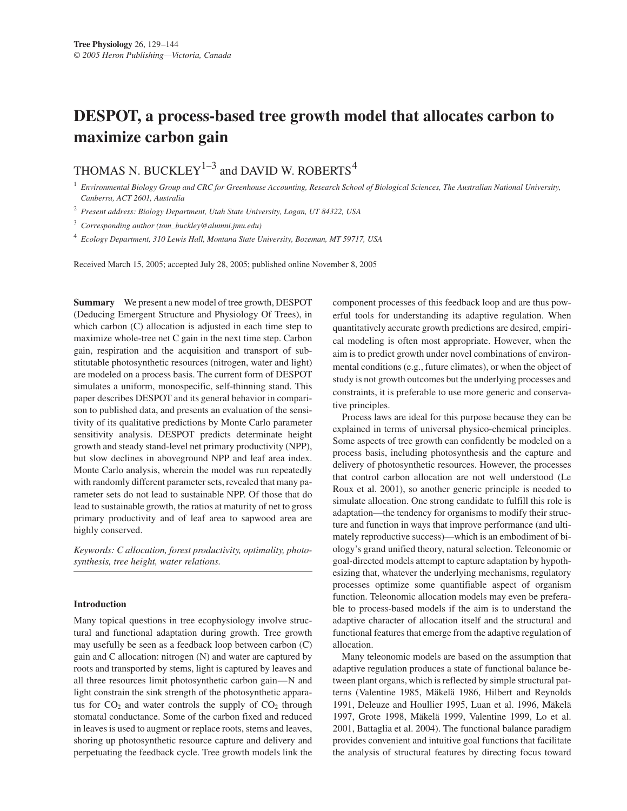# **DESPOT, a process-based tree growth model that allocates carbon to maximize carbon gain**

# THOMAS N. BUCKLEY<sup>1-3</sup> and DAVID W. ROBERTS<sup>4</sup>

<sup>1</sup> *Environmental Biology Group and CRC for Greenhouse Accounting, Research School of Biological Sciences, The Australian National University, Canberra, ACT 2601, Australia*

<sup>2</sup> *Present address: Biology Department, Utah State University, Logan, UT 84322, USA*

<sup>3</sup> *Corresponding author (tom\_buckley@alumni.jmu.edu)*

<sup>4</sup> *Ecology Department, 310 Lewis Hall, Montana State University, Bozeman, MT 59717, USA*

Received March 15, 2005; accepted July 28, 2005; published online November 8, 2005

**Summary** We present a new model of tree growth, DESPOT (Deducing Emergent Structure and Physiology Of Trees), in which carbon (C) allocation is adjusted in each time step to maximize whole-tree net C gain in the next time step. Carbon gain, respiration and the acquisition and transport of substitutable photosynthetic resources (nitrogen, water and light) are modeled on a process basis. The current form of DESPOT simulates a uniform, monospecific, self-thinning stand. This paper describes DESPOT and its general behavior in comparison to published data, and presents an evaluation of the sensitivity of its qualitative predictions by Monte Carlo parameter sensitivity analysis. DESPOT predicts determinate height growth and steady stand-level net primary productivity (NPP), but slow declines in aboveground NPP and leaf area index. Monte Carlo analysis, wherein the model was run repeatedly with randomly different parameter sets, revealed that many parameter sets do not lead to sustainable NPP. Of those that do lead to sustainable growth, the ratios at maturity of net to gross primary productivity and of leaf area to sapwood area are highly conserved.

*Keywords: C allocation, forest productivity, optimality, photosynthesis, tree height, water relations.*

#### **Introduction**

Many topical questions in tree ecophysiology involve structural and functional adaptation during growth. Tree growth may usefully be seen as a feedback loop between carbon (C) gain and C allocation: nitrogen (N) and water are captured by roots and transported by stems, light is captured by leaves and all three resources limit photosynthetic carbon gain—N and light constrain the sink strength of the photosynthetic apparatus for  $CO<sub>2</sub>$  and water controls the supply of  $CO<sub>2</sub>$  through stomatal conductance. Some of the carbon fixed and reduced in leaves is used to augment or replace roots, stems and leaves, shoring up photosynthetic resource capture and delivery and perpetuating the feedback cycle. Tree growth models link the component processes of this feedback loop and are thus powerful tools for understanding its adaptive regulation. When quantitatively accurate growth predictions are desired, empirical modeling is often most appropriate. However, when the aim is to predict growth under novel combinations of environmental conditions (e.g., future climates), or when the object of study is not growth outcomes but the underlying processes and constraints, it is preferable to use more generic and conservative principles.

Process laws are ideal for this purpose because they can be explained in terms of universal physico-chemical principles. Some aspects of tree growth can confidently be modeled on a process basis, including photosynthesis and the capture and delivery of photosynthetic resources. However, the processes that control carbon allocation are not well understood (Le Roux et al. 2001), so another generic principle is needed to simulate allocation. One strong candidate to fulfill this role is adaptation—the tendency for organisms to modify their structure and function in ways that improve performance (and ultimately reproductive success)—which is an embodiment of biology's grand unified theory, natural selection. Teleonomic or goal-directed models attempt to capture adaptation by hypothesizing that, whatever the underlying mechanisms, regulatory processes optimize some quantifiable aspect of organism function. Teleonomic allocation models may even be preferable to process-based models if the aim is to understand the adaptive character of allocation itself and the structural and functional features that emerge from the adaptive regulation of allocation.

Many teleonomic models are based on the assumption that adaptive regulation produces a state of functional balance between plant organs, which is reflected by simple structural patterns (Valentine 1985, Mäkelä 1986, Hilbert and Reynolds 1991, Deleuze and Houllier 1995, Luan et al. 1996, Mäkelä 1997, Grote 1998, Mäkelä 1999, Valentine 1999, Lo et al. 2001, Battaglia et al. 2004). The functional balance paradigm provides convenient and intuitive goal functions that facilitate the analysis of structural features by directing focus toward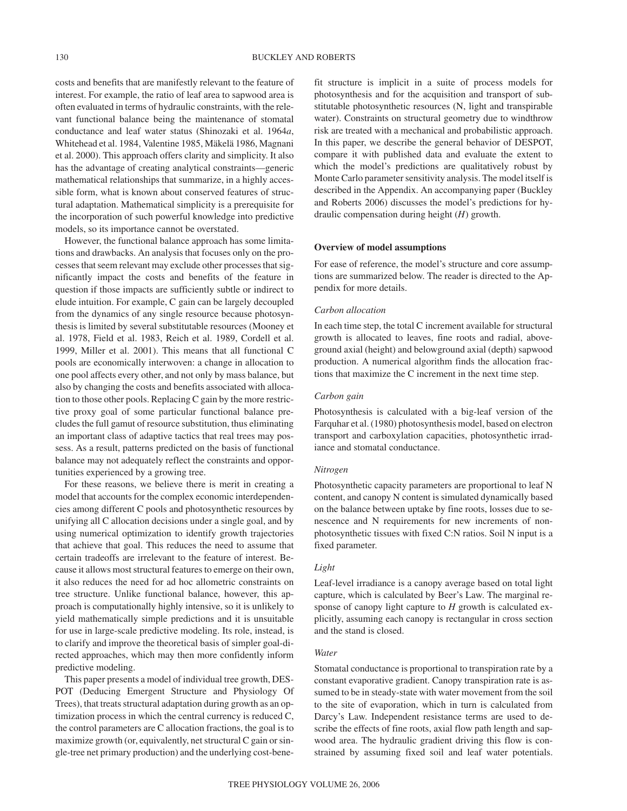costs and benefits that are manifestly relevant to the feature of interest. For example, the ratio of leaf area to sapwood area is often evaluated in terms of hydraulic constraints, with the relevant functional balance being the maintenance of stomatal conductance and leaf water status (Shinozaki et al. 1964*a*, Whitehead et al. 1984, Valentine 1985, Mäkelä 1986, Magnani et al. 2000). This approach offers clarity and simplicity. It also has the advantage of creating analytical constraints—generic mathematical relationships that summarize, in a highly accessible form, what is known about conserved features of structural adaptation. Mathematical simplicity is a prerequisite for the incorporation of such powerful knowledge into predictive models, so its importance cannot be overstated.

However, the functional balance approach has some limitations and drawbacks. An analysis that focuses only on the processes that seem relevant may exclude other processes that significantly impact the costs and benefits of the feature in question if those impacts are sufficiently subtle or indirect to elude intuition. For example, C gain can be largely decoupled from the dynamics of any single resource because photosynthesis is limited by several substitutable resources (Mooney et al. 1978, Field et al. 1983, Reich et al. 1989, Cordell et al. 1999, Miller et al. 2001). This means that all functional C pools are economically interwoven: a change in allocation to one pool affects every other, and not only by mass balance, but also by changing the costs and benefits associated with allocation to those other pools. Replacing C gain by the more restrictive proxy goal of some particular functional balance precludes the full gamut of resource substitution, thus eliminating an important class of adaptive tactics that real trees may possess. As a result, patterns predicted on the basis of functional balance may not adequately reflect the constraints and opportunities experienced by a growing tree.

For these reasons, we believe there is merit in creating a model that accounts for the complex economic interdependencies among different C pools and photosynthetic resources by unifying all C allocation decisions under a single goal, and by using numerical optimization to identify growth trajectories that achieve that goal. This reduces the need to assume that certain tradeoffs are irrelevant to the feature of interest. Because it allows most structural features to emerge on their own, it also reduces the need for ad hoc allometric constraints on tree structure. Unlike functional balance, however, this approach is computationally highly intensive, so it is unlikely to yield mathematically simple predictions and it is unsuitable for use in large-scale predictive modeling. Its role, instead, is to clarify and improve the theoretical basis of simpler goal-directed approaches, which may then more confidently inform predictive modeling.

This paper presents a model of individual tree growth, DES-POT (Deducing Emergent Structure and Physiology Of Trees), that treats structural adaptation during growth as an optimization process in which the central currency is reduced C, the control parameters are C allocation fractions, the goal is to maximize growth (or, equivalently, net structural C gain or single-tree net primary production) and the underlying cost-benefit structure is implicit in a suite of process models for photosynthesis and for the acquisition and transport of substitutable photosynthetic resources (N, light and transpirable water). Constraints on structural geometry due to windthrow risk are treated with a mechanical and probabilistic approach. In this paper, we describe the general behavior of DESPOT, compare it with published data and evaluate the extent to which the model's predictions are qualitatively robust by Monte Carlo parameter sensitivity analysis. The model itself is described in the Appendix. An accompanying paper (Buckley and Roberts 2006) discusses the model's predictions for hydraulic compensation during height (*H*) growth.

# **Overview of model assumptions**

For ease of reference, the model's structure and core assumptions are summarized below. The reader is directed to the Appendix for more details.

### *Carbon allocation*

In each time step, the total C increment available for structural growth is allocated to leaves, fine roots and radial, aboveground axial (height) and belowground axial (depth) sapwood production. A numerical algorithm finds the allocation fractions that maximize the C increment in the next time step.

# *Carbon gain*

Photosynthesis is calculated with a big-leaf version of the Farquhar et al. (1980) photosynthesis model, based on electron transport and carboxylation capacities, photosynthetic irradiance and stomatal conductance.

## *Nitrogen*

Photosynthetic capacity parameters are proportional to leaf N content, and canopy N content is simulated dynamically based on the balance between uptake by fine roots, losses due to senescence and N requirements for new increments of nonphotosynthetic tissues with fixed C:N ratios. Soil N input is a fixed parameter.

# *Light*

Leaf-level irradiance is a canopy average based on total light capture, which is calculated by Beer's Law. The marginal response of canopy light capture to *H* growth is calculated explicitly, assuming each canopy is rectangular in cross section and the stand is closed.

# *Water*

Stomatal conductance is proportional to transpiration rate by a constant evaporative gradient. Canopy transpiration rate is assumed to be in steady-state with water movement from the soil to the site of evaporation, which in turn is calculated from Darcy's Law. Independent resistance terms are used to describe the effects of fine roots, axial flow path length and sapwood area. The hydraulic gradient driving this flow is constrained by assuming fixed soil and leaf water potentials.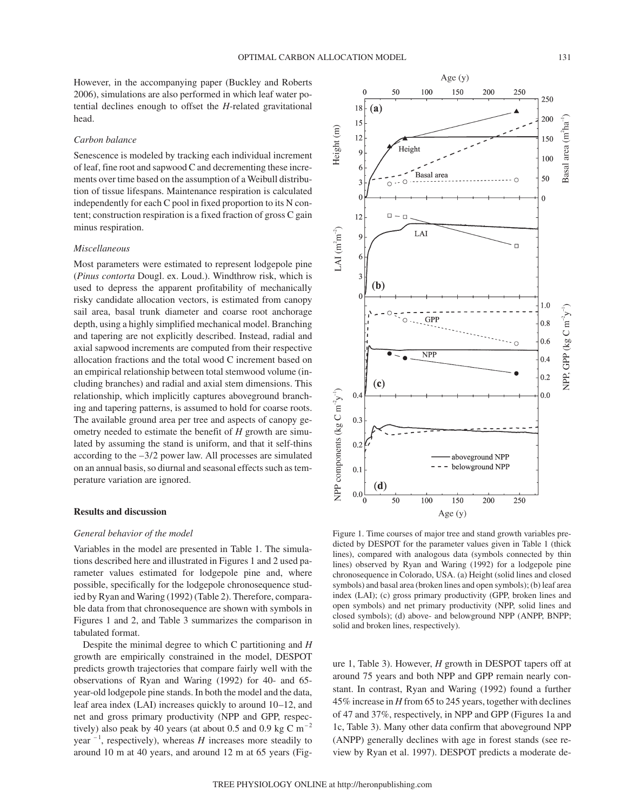However, in the accompanying paper (Buckley and Roberts 2006), simulations are also performed in which leaf water potential declines enough to offset the *H*-related gravitational head.

#### *Carbon balance*

Senescence is modeled by tracking each individual increment of leaf, fine root and sapwood C and decrementing these increments over time based on the assumption of a Weibull distribution of tissue lifespans. Maintenance respiration is calculated independently for each C pool in fixed proportion to its N content; construction respiration is a fixed fraction of gross C gain minus respiration.

# *Miscellaneous*

Most parameters were estimated to represent lodgepole pine (*Pinus contorta* Dougl. ex. Loud.). Windthrow risk, which is used to depress the apparent profitability of mechanically risky candidate allocation vectors, is estimated from canopy sail area, basal trunk diameter and coarse root anchorage depth, using a highly simplified mechanical model. Branching and tapering are not explicitly described. Instead, radial and axial sapwood increments are computed from their respective allocation fractions and the total wood C increment based on an empirical relationship between total stemwood volume (including branches) and radial and axial stem dimensions. This relationship, which implicitly captures aboveground branching and tapering patterns, is assumed to hold for coarse roots. The available ground area per tree and aspects of canopy geometry needed to estimate the benefit of *H* growth are simulated by assuming the stand is uniform, and that it self-thins according to the –3/2 power law. All processes are simulated on an annual basis, so diurnal and seasonal effects such as temperature variation are ignored.

# **Results and discussion**

### *General behavior of the model*

Variables in the model are presented in Table 1. The simulations described here and illustrated in Figures 1 and 2 used parameter values estimated for lodgepole pine and, where possible, specifically for the lodgepole chronosequence studied by Ryan and Waring (1992) (Table 2). Therefore, comparable data from that chronosequence are shown with symbols in Figures 1 and 2, and Table 3 summarizes the comparison in tabulated format.

Despite the minimal degree to which C partitioning and *H* growth are empirically constrained in the model, DESPOT predicts growth trajectories that compare fairly well with the observations of Ryan and Waring (1992) for 40- and 65 year-old lodgepole pine stands. In both the model and the data, leaf area index (LAI) increases quickly to around 10–12, and net and gross primary productivity (NPP and GPP, respectively) also peak by 40 years (at about 0.5 and 0.9 kg C  $\mathrm{m}^{-2}$ year  $^{-1}$ , respectively), whereas *H* increases more steadily to around 10 m at 40 years, and around 12 m at 65 years (Fig-



Figure 1. Time courses of major tree and stand growth variables predicted by DESPOT for the parameter values given in Table 1 (thick lines), compared with analogous data (symbols connected by thin lines) observed by Ryan and Waring (1992) for a lodgepole pine chronosequence in Colorado, USA. (a) Height (solid lines and closed symbols) and basal area (broken lines and open symbols); (b) leaf area index (LAI); (c) gross primary productivity (GPP, broken lines and open symbols) and net primary productivity (NPP, solid lines and closed symbols); (d) above- and belowground NPP (ANPP, BNPP; solid and broken lines, respectively).

ure 1, Table 3). However, *H* growth in DESPOT tapers off at around 75 years and both NPP and GPP remain nearly constant. In contrast, Ryan and Waring (1992) found a further 45% increase in *H* from 65 to 245 years, together with declines of 47 and 37%, respectively, in NPP and GPP (Figures 1a and 1c, Table 3). Many other data confirm that aboveground NPP (ANPP) generally declines with age in forest stands (see review by Ryan et al. 1997). DESPOT predicts a moderate de-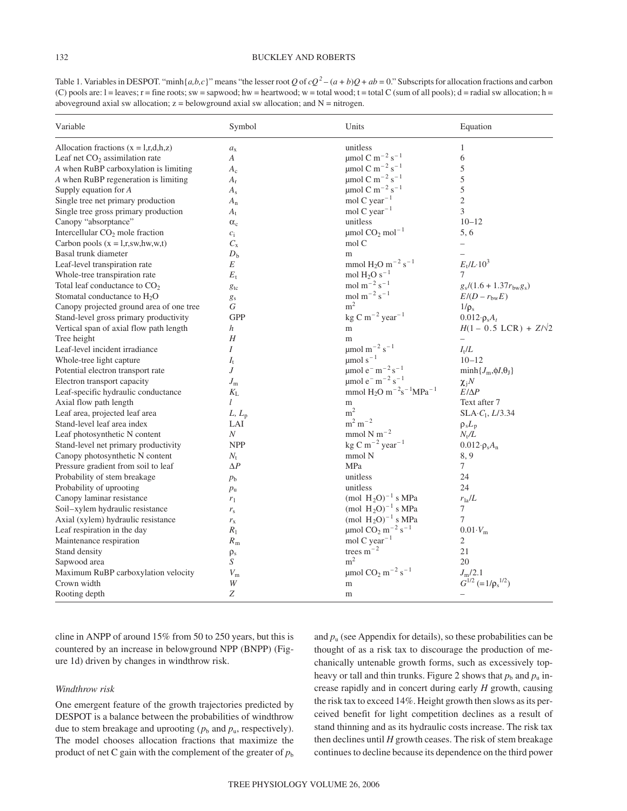# 132 BUCKLEY AND ROBERTS

Table 1. Variables in DESPOT. "minh $\{a,b,c\}$ " means "the lesser root *Q* of  $cQ^2 - (a+b)Q + ab = 0$ ." Subscripts for allocation fractions and carbon (C) pools are:  $l =$  leaves;  $r =$  fine roots; sw = sapwood; hw = heartwood; w = total wood; t = total C (sum of all pools); d = radial sw allocation; h = aboveground axial sw allocation;  $z =$  belowground axial sw allocation; and  $N =$  nitrogen.

| Variable                                   | Symbol           | Units                                                         | Equation                              |
|--------------------------------------------|------------------|---------------------------------------------------------------|---------------------------------------|
| Allocation fractions $(x = l, r, d, h, z)$ | $a_{x}$          | unitless                                                      | 1                                     |
| Leaf net $CO2$ assimilation rate           | $\boldsymbol{A}$ | $\mu$ mol C m <sup>-2</sup> s <sup>-1</sup>                   | 6                                     |
| A when RuBP carboxylation is limiting      | $A_c$            | $\mu$ mol C m <sup>-2</sup> s <sup>-1</sup>                   | 5                                     |
| A when RuBP regeneration is limiting       | $A_{r}$          | $\mu$ mol C m <sup>-2</sup> s <sup>-1</sup>                   | 5                                     |
| Supply equation for $A$                    | $A_{\rm s}$      | $\mu$ mol C m <sup>-2</sup> s <sup>-1</sup>                   | 5                                     |
| Single tree net primary production         | $A_{n}$          | mol C year <sup>-1</sup>                                      | $\sqrt{2}$                            |
| Single tree gross primary production       | $A_{t}$          | mol C year <sup><math>-1</math></sup>                         | $\mathfrak{Z}$                        |
| Canopy "absorptance"                       | $\alpha_c$       | unitless                                                      | $10 - 12$                             |
| Intercellular $CO2$ mole fraction          | $c_i$            | $\mu$ mol CO <sub>2</sub> mol <sup>-1</sup>                   | 5,6                                   |
| Carbon pools $(x = 1, r, sw, hw, w, t)$    | $C_{\rm x}$      | mol C                                                         |                                       |
| Basal trunk diameter                       | $D_{\rm b}$      | m                                                             |                                       |
| Leaf-level transpiration rate              | Е                | mmol H <sub>2</sub> O m <sup>-2</sup> s <sup>-1</sup>         | $E_1/L \cdot 10^3$                    |
| Whole-tree transpiration rate              | $E_{\rm t}$      | mol $H_2O s^{-1}$                                             | 7                                     |
| Total leaf conductance to $CO2$            | $g_{\rm tc}$     | mol m <sup><math>-2</math></sup> s <sup><math>-1</math></sup> | $g_s/(1.6 + 1.37r_{bw}g_s)$           |
| Stomatal conductance to $H_2O$             | $g_{\rm s}$      | mol m <sup><math>-2</math></sup> s <sup><math>-1</math></sup> | $E/(D - r_{\text{bw}}E)$              |
| Canopy projected ground area of one tree   | G                | m <sup>2</sup>                                                | $1/\rho_s$                            |
| Stand-level gross primary productivity     | <b>GPP</b>       | $\text{kg C m}^{-2} \text{ year}^{-1}$                        | $0.012 \cdot \rho_s A_t$              |
| Vertical span of axial flow path length    | $\boldsymbol{h}$ | m                                                             | $H(1 - 0.5 \text{ LCR}) + Z/\sqrt{2}$ |
| Tree height                                | H                | ${\bf m}$                                                     | $\equiv$                              |
| Leaf-level incident irradiance             | I                | $\mu$ mol m <sup>-2</sup> s <sup>-1</sup>                     | $I_{\rm t}/L$                         |
| Whole-tree light capture                   | $I_{\rm t}$      | $\mu$ mol s <sup>-1</sup>                                     | $10 - 12$                             |
| Potential electron transport rate          | J                | $\mu$ mol e <sup>-</sup> m <sup>-2</sup> s <sup>-1</sup>      | $\min\{J_{\rm m},\phi J_{\rm v}\}\$   |
| Electron transport capacity                | $J_{\rm m}$      | $\mu$ mol e <sup>-</sup> m <sup>-2</sup> s <sup>-1</sup>      | $\chi_{i}N$                           |
| Leaf-specific hydraulic conductance        | $K_{\rm L}$      | mmol $H_2O m^{-2}s^{-1}MPa^{-1}$                              | $E/\Delta P$                          |
| Axial flow path length                     | l                | m                                                             | Text after 7                          |
| Leaf area, projected leaf area             | $L, L_p$         | m <sup>2</sup>                                                | $SLA \cdot C_1$ , $L/3.34$            |
| Stand-level leaf area index                | LAI              | $m^2 m^{-2}$                                                  | $\rho_s L_p$                          |
| Leaf photosynthetic N content              | N                | mmol N m <sup><math>-2</math></sup>                           | $N_{\rm t}/L$                         |
| Stand-level net primary productivity       | <b>NPP</b>       | $\text{kg C m}^{-2} \text{ year}^{-1}$                        | $0.012 \cdot \rho_s A_n$              |
| Canopy photosynthetic N content            | $N_{\rm t}$      | mmol N                                                        | 8, 9                                  |
| Pressure gradient from soil to leaf        | $\Delta P$       | MPa                                                           | $\tau$                                |
| Probability of stem breakage               | $p_{\rm b}$      | unitless                                                      | 24                                    |
| Probability of uprooting                   | $p_{\rm u}$      | unitless                                                      | 24                                    |
| Canopy laminar resistance                  | $r_1$            | (mol $H_2O^{-1}$ s MPa                                        | $r_{\rm la}/L$                        |
| Soil-xylem hydraulic resistance            | $r_{\rm s}$      | (mol $H_2O$ ) <sup>-1</sup> s MPa                             | $\tau$                                |
| Axial (xylem) hydraulic resistance         | $r_{\rm x}$      | (mol $H_2O$ ) <sup>-1</sup> s MPa                             | $\overline{7}$                        |
| Leaf respiration in the day                | $R_1$            | $\mu$ mol CO <sub>2</sub> m <sup>-2</sup> s <sup>-1</sup>     | $0.01\cdot V_{\rm m}$                 |
| Maintenance respiration                    | $R_{\rm m}$      | mol C year <sup><math>-1</math></sup>                         | 2                                     |
| Stand density                              | $\rho_s$         | trees $m^{-2}$                                                | 21                                    |
| Sapwood area                               | S                | m <sup>2</sup>                                                | 20                                    |
| Maximum RuBP carboxylation velocity        | $V_{\rm m}$      | $\mu$ mol CO <sub>2</sub> m <sup>-2</sup> s <sup>-1</sup>     | $J_{\rm m}/2.1$                       |
| Crown width                                | W                | ${\bf m}$                                                     | $G^{1/2}$ (= $1/\rho_s^{1/2}$ )       |
| Rooting depth                              | Z                | m                                                             |                                       |

cline in ANPP of around 15% from 50 to 250 years, but this is countered by an increase in belowground NPP (BNPP) (Figure 1d) driven by changes in windthrow risk.

# *Windthrow risk*

One emergent feature of the growth trajectories predicted by DESPOT is a balance between the probabilities of windthrow due to stem breakage and uprooting  $(p_b \text{ and } p_u, \text{ respectively})$ . The model chooses allocation fractions that maximize the product of net C gain with the complement of the greater of  $p<sub>b</sub>$ 

and  $p_u$  (see Appendix for details), so these probabilities can be thought of as a risk tax to discourage the production of mechanically untenable growth forms, such as excessively topheavy or tall and thin trunks. Figure 2 shows that  $p_b$  and  $p_u$  increase rapidly and in concert during early *H* growth, causing the risk tax to exceed 14%. Height growth then slows as its perceived benefit for light competition declines as a result of stand thinning and as its hydraulic costs increase. The risk tax then declines until  $H$  growth ceases. The risk of stem breakage continues to decline because its dependence on the third power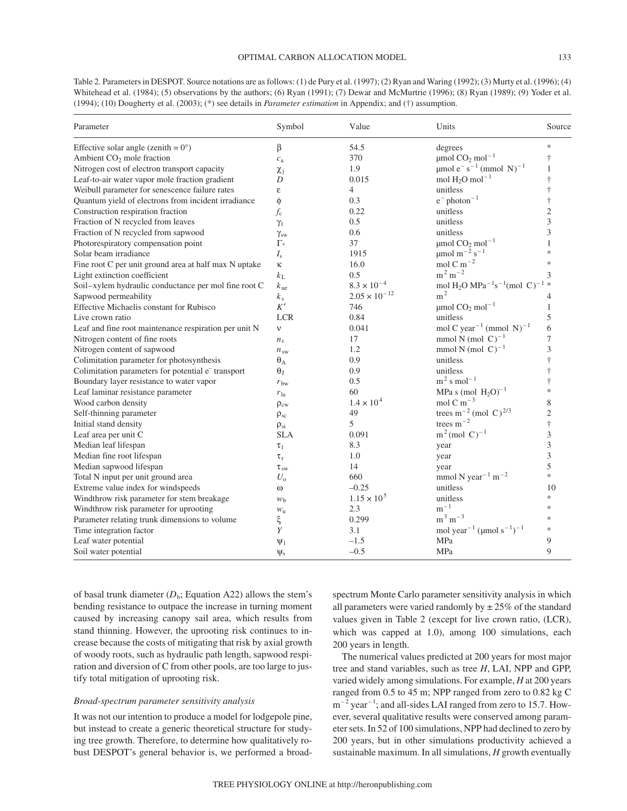Table 2. Parameters in DESPOT. Source notations are as follows: (1) de Pury et al. (1997); (2) Ryan and Waring (1992); (3) Murty et al. (1996); (4) Whitehead et al. (1984); (5) observations by the authors; (6) Ryan (1991); (7) Dewar and McMurtrie (1996); (8) Ryan (1989); (9) Yoder et al. (1994); (10) Dougherty et al. (2003); (\*) see details in *Parameter estimation* in Appendix; and (†) assumption.

| Parameter                                                      | Symbol           | Value                  | Units                                                                        | Source         |
|----------------------------------------------------------------|------------------|------------------------|------------------------------------------------------------------------------|----------------|
| Effective solar angle (zenith = $0^{\circ}$ )                  | β                | 54.5                   | degrees                                                                      | $\ast$         |
| Ambient CO <sub>2</sub> mole fraction                          | $c_{\rm a}$      | 370                    | $\mu$ mol CO <sub>2</sub> mol <sup>-1</sup>                                  | ŧ              |
| Nitrogen cost of electron transport capacity                   | $\chi_{i}$       | 1.9                    | umol $e^{-} s^{-1}$ (mmol N) <sup>-1</sup>                                   | 1              |
| Leaf-to-air water vapor mole fraction gradient                 | D                | 0.015                  | mol $H_2O$ mol <sup>-1</sup>                                                 | $\dagger$      |
| Weibull parameter for senescence failure rates                 | ε                | $\overline{4}$         | unitless                                                                     | $\dagger$      |
| Quantum yield of electrons from incident irradiance            | φ                | 0.3                    | $e^-$ photon <sup>-1</sup>                                                   | $\dagger$      |
| Construction respiration fraction                              | $f_{\rm c}$      | 0.22                   | unitless                                                                     | $\overline{2}$ |
| Fraction of N recycled from leaves                             | $\gamma_1$       | 0.5                    | unitless                                                                     | 3              |
| Fraction of N recycled from sapwood                            | $\gamma_{sw}$    | 0.6                    | unitless                                                                     | 3              |
| Photorespiratory compensation point                            | $\Gamma_{*}$     | 37                     | $\mu$ mol CO <sub>2</sub> mol <sup>-1</sup>                                  |                |
| Solar beam irradiance                                          | $I_{\rm s}$      | 1915                   | $\mu$ mol m <sup>-2</sup> s <sup>-1</sup>                                    | $\ast$         |
| Fine root C per unit ground area at half max N uptake          | К                | 16.0                   | mol C m <sup><math>-2</math></sup>                                           | $\ast$         |
| Light extinction coefficient                                   | $k_{\rm L}$      | 0.5                    | $m^2 m^{-2}$                                                                 | 3              |
| Soil-xylem hydraulic conductance per mol fine root C           | $k_{\text{ue}}$  | $8.3 \times 10^{-4}$   | mol H <sub>2</sub> O MPa <sup>-1</sup> s <sup>-1</sup> (mol C) <sup>-1</sup> |                |
| Sapwood permeability                                           | $k_{\rm s}$      | $2.05 \times 10^{-12}$ | m <sup>2</sup>                                                               | 4              |
| Effective Michaelis constant for Rubisco                       | K'               | 746                    | $\mu$ mol CO <sub>2</sub> mol <sup>-1</sup>                                  | 1              |
| Live crown ratio                                               | <b>LCR</b>       | 0.84                   | unitless                                                                     | 5              |
| Leaf and fine root maintenance respiration per unit N          | $\mathbf{V}$     | 0.041                  | mol C year <sup>-1</sup> (mmol N) <sup>-1</sup>                              | 6              |
| Nitrogen content of fine roots                                 | $n_{\rm r}$      | 17                     | mmol N (mol $C$ ) <sup>-1</sup>                                              | 7              |
| Nitrogen content of sapwood                                    | $n_{sw}$         | 1.2                    | mmol N (mol $C^{-1}$                                                         | 3              |
| Colimitation parameter for photosynthesis                      | $\theta_A$       | 0.9                    | unitless                                                                     | ŧ              |
| Colimitation parameters for potential e <sup>-</sup> transport | $\theta_{\rm I}$ | 0.9                    | unitless                                                                     | $\dagger$      |
| Boundary layer resistance to water vapor                       | $r_{\rm bw}$     | 0.5                    | $m2$ s mol <sup>-1</sup>                                                     | $\dagger$      |
| Leaf laminar resistance parameter                              | $r_{\rm la}$     | 60                     | MPa s (mol $H_2O$ ) <sup>-1</sup>                                            | $\ast$         |
| Wood carbon density                                            | $\rho_{\rm cw}$  | $1.4 \times 10^{4}$    | mol C m <sup><math>-3</math></sup>                                           | 8              |
| Self-thinning parameter                                        | $\rho_{sc}$      | 49                     | trees m <sup>-2</sup> (mol C) <sup>2/3</sup>                                 | $\overline{c}$ |
| Initial stand density                                          | $\rho_{si}$      | 5                      | trees $m^{-2}$                                                               | $\dagger$      |
| Leaf area per unit C                                           | <b>SLA</b>       | 0.091                  | $m^2$ (mol C) <sup>-1</sup>                                                  | 3              |
| Median leaf lifespan                                           | $\tau_1$         | 8.3                    | year                                                                         | 3              |
| Median fine root lifespan                                      | $\tau_r$         | 1.0                    | year                                                                         | 3              |
| Median sapwood lifespan                                        | $\tau_{\rm sw}$  | 14                     | year                                                                         | 5              |
| Total N input per unit ground area                             | $U_{\rm o}$      | 660                    | mmol N year <sup>-1</sup> m <sup>-2</sup>                                    | $\ast$         |
| Extreme value index for windspeeds                             | $\omega$         | $-0.25$                | unitless                                                                     | 10             |
| Windthrow risk parameter for stem breakage                     | W <sub>b</sub>   | $1.15 \times 10^{5}$   | unitless                                                                     | *              |
| Windthrow risk parameter for uprooting                         | $W_{\rm u}$      | 2.3                    | $m^{-1}$                                                                     | $\ast$         |
| Parameter relating trunk dimensions to volume                  | ξ                | 0.299                  | $m^3 m^{-3}$                                                                 | $\ast$         |
| Time integration factor                                        | Y                | 3.1                    | mol year <sup>-1</sup> ( $\mu$ mol s <sup>-1</sup> ) <sup>-1</sup>           | $\ast$         |
| Leaf water potential                                           | $\Psi_1$         | $-1.5$                 | MPa                                                                          | 9              |
| Soil water potential                                           | $\Psi$ s         | $-0.5$                 | MPa                                                                          | 9              |

of basal trunk diameter  $(D_b;$  Equation A22) allows the stem's bending resistance to outpace the increase in turning moment caused by increasing canopy sail area, which results from stand thinning. However, the uprooting risk continues to increase because the costs of mitigating that risk by axial growth of woody roots, such as hydraulic path length, sapwood respiration and diversion of C from other pools, are too large to justify total mitigation of uprooting risk.

# *Broad-spectrum parameter sensitivity analysis*

It was not our intention to produce a model for lodgepole pine, but instead to create a generic theoretical structure for studying tree growth. Therefore, to determine how qualitatively robust DESPOT's general behavior is, we performed a broadspectrum Monte Carlo parameter sensitivity analysis in which all parameters were varied randomly by  $\pm 25\%$  of the standard values given in Table 2 (except for live crown ratio, (LCR), which was capped at 1.0), among 100 simulations, each 200 years in length.

The numerical values predicted at 200 years for most major tree and stand variables, such as tree *H*, LAI, NPP and GPP, varied widely among simulations. For example, *H* at 200 years ranged from 0.5 to 45 m; NPP ranged from zero to 0.82 kg C  $m^{-2}$  year<sup>-1</sup>; and all-sides LAI ranged from zero to 15.7. However, several qualitative results were conserved among parameter sets. In 52 of 100 simulations, NPP had declined to zero by 200 years, but in other simulations productivity achieved a sustainable maximum. In all simulations, *H* growth eventually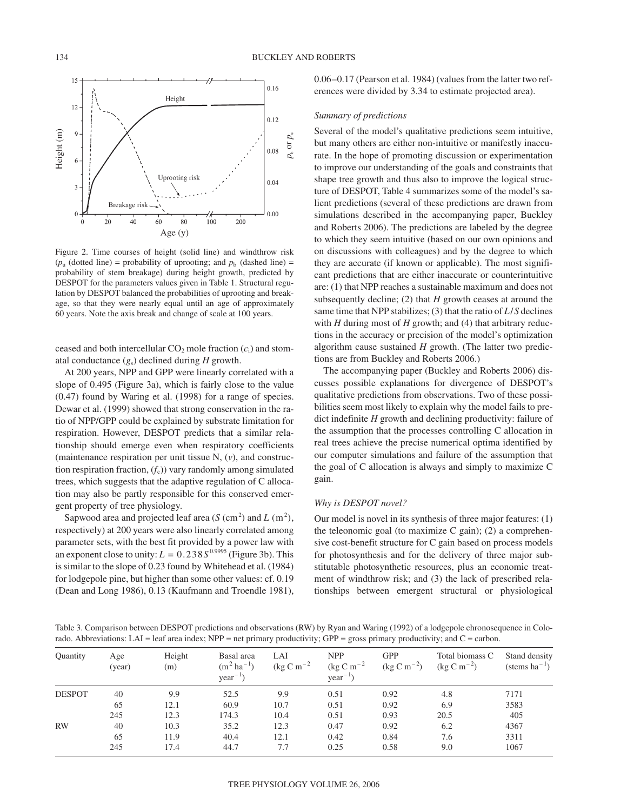

Figure 2. Time courses of height (solid line) and windthrow risk  $(p_u$  (dotted line) = probability of uprooting; and  $p_b$  (dashed line) = probability of stem breakage) during height growth, predicted by DESPOT for the parameters values given in Table 1. Structural regulation by DESPOT balanced the probabilities of uprooting and breakage, so that they were nearly equal until an age of approximately 60 years. Note the axis break and change of scale at 100 years.

ceased and both intercellular  $CO<sub>2</sub>$  mole fraction  $(c<sub>i</sub>)$  and stomatal conductance (*g*s) declined during *H* growth.

At 200 years, NPP and GPP were linearly correlated with a slope of 0.495 (Figure 3a), which is fairly close to the value (0.47) found by Waring et al. (1998) for a range of species. Dewar et al. (1999) showed that strong conservation in the ratio of NPP/GPP could be explained by substrate limitation for respiration. However, DESPOT predicts that a similar relationship should emerge even when respiratory coefficients (maintenance respiration per unit tissue N, (*v*), and construction respiration fraction,  $(f_c)$ ) vary randomly among simulated trees, which suggests that the adaptive regulation of C allocation may also be partly responsible for this conserved emergent property of tree physiology.

Sapwood area and projected leaf area  $(S(\text{cm}^2)$  and  $L(\text{m}^2)$ , respectively) at 200 years were also linearly correlated among parameter sets, with the best fit provided by a power law with an exponent close to unity:  $L = 0.238S^{0.9995}$  (Figure 3b). This is similar to the slope of 0.23 found by Whitehead et al. (1984) for lodgepole pine, but higher than some other values: cf. 0.19 (Dean and Long 1986), 0.13 (Kaufmann and Troendle 1981), 0.06–0.17 (Pearson et al. 1984) (values from the latter two references were divided by 3.34 to estimate projected area).

# *Summary of predictions*

Several of the model's qualitative predictions seem intuitive, but many others are either non-intuitive or manifestly inaccurate. In the hope of promoting discussion or experimentation to improve our understanding of the goals and constraints that shape tree growth and thus also to improve the logical structure of DESPOT, Table 4 summarizes some of the model's salient predictions (several of these predictions are drawn from simulations described in the accompanying paper, Buckley and Roberts 2006). The predictions are labeled by the degree to which they seem intuitive (based on our own opinions and on discussions with colleagues) and by the degree to which they are accurate (if known or applicable). The most significant predictions that are either inaccurate or counterintuitive are: (1) that NPP reaches a sustainable maximum and does not subsequently decline; (2) that *H* growth ceases at around the same time that NPP stabilizes; (3) that the ratio of *L*/*S* declines with *H* during most of *H* growth; and (4) that arbitrary reductions in the accuracy or precision of the model's optimization algorithm cause sustained *H* growth. (The latter two predictions are from Buckley and Roberts 2006.)

The accompanying paper (Buckley and Roberts 2006) discusses possible explanations for divergence of DESPOT's qualitative predictions from observations. Two of these possibilities seem most likely to explain why the model fails to predict indefinite *H* growth and declining productivity: failure of the assumption that the processes controlling C allocation in real trees achieve the precise numerical optima identified by our computer simulations and failure of the assumption that the goal of C allocation is always and simply to maximize C gain.

# *Why is DESPOT novel?*

Our model is novel in its synthesis of three major features: (1) the teleonomic goal (to maximize  $C$  gain); (2) a comprehensive cost-benefit structure for C gain based on process models for photosynthesis and for the delivery of three major substitutable photosynthetic resources, plus an economic treatment of windthrow risk; and (3) the lack of prescribed relationships between emergent structural or physiological

Table 3. Comparison between DESPOT predictions and observations (RW) by Ryan and Waring (1992) of a lodgepole chronosequence in Colorado. Abbreviations: LAI = leaf area index; NPP = net primary productivity; GPP = gross primary productivity; and  $C =$  carbon.

| Quantity      | Age<br>(year) | Height<br>(m) | Basal area<br>$(m^2 \text{ ha}^{-1})$<br>$year^{-1}$ | LAI<br>(kg C m <sup><math>-2</math></sup> | <b>NPP</b><br>(kg C m <sup><math>-2</math></sup><br>$year^{-1}$ ) | <b>GPP</b><br>$(\text{kg C m}^{-2})$ | Total biomass C<br>$(\text{kg C m}^{-2})$ | Stand density<br>(stems $ha^{-1}$ ) |
|---------------|---------------|---------------|------------------------------------------------------|-------------------------------------------|-------------------------------------------------------------------|--------------------------------------|-------------------------------------------|-------------------------------------|
| <b>DESPOT</b> | 40            | 9.9           | 52.5                                                 | 9.9                                       | 0.51                                                              | 0.92                                 | 4.8                                       | 7171                                |
|               | 65            | 12.1          | 60.9                                                 | 10.7                                      | 0.51                                                              | 0.92                                 | 6.9                                       | 3583                                |
|               | 245           | 12.3          | 174.3                                                | 10.4                                      | 0.51                                                              | 0.93                                 | 20.5                                      | 405                                 |
| <b>RW</b>     | 40            | 10.3          | 35.2                                                 | 12.3                                      | 0.47                                                              | 0.92                                 | 6.2                                       | 4367                                |
|               | 65            | 11.9          | 40.4                                                 | 12.1                                      | 0.42                                                              | 0.84                                 | 7.6                                       | 3311                                |
|               | 245           | 17.4          | 44.7                                                 | 7.7                                       | 0.25                                                              | 0.58                                 | 9.0                                       | 1067                                |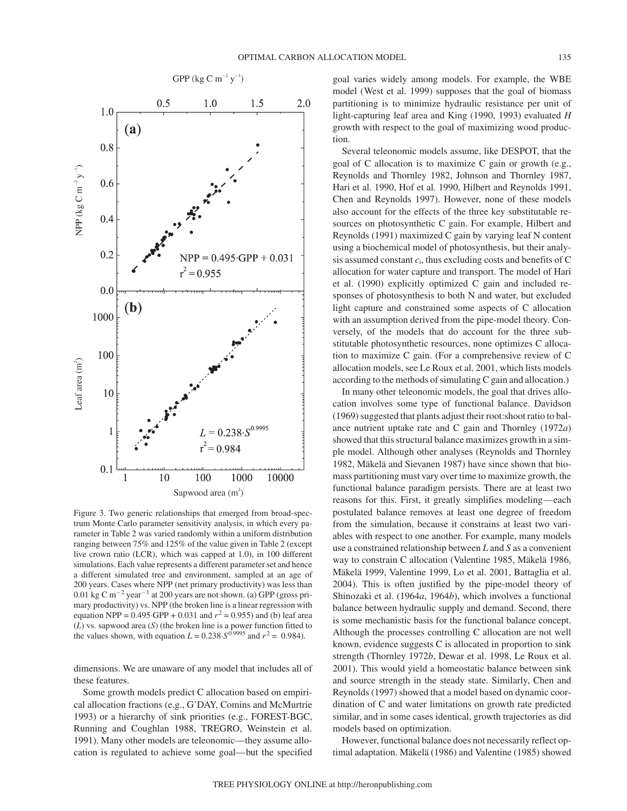

Figure 3. Two generic relationships that emerged from broad-spectrum Monte Carlo parameter sensitivity analysis, in which every parameter in Table 2 was varied randomly within a uniform distribution ranging between 75% and 125% of the value given in Table 2 (except live crown ratio (LCR), which was capped at 1.0), in 100 different simulations. Each value represents a different parameter set and hence a different simulated tree and environment, sampled at an age of 200 years. Cases where NPP (net primary productivity) was less than 0.01 kg C m<sup> $-2$ </sup> year<sup> $-1$ </sup> at 200 years are not shown. (a) GPP (gross primary productivity) vs. NPP (the broken line is a linear regression with equation NPP =  $0.495 \text{ GPP} + 0.031$  and  $r^2 = 0.955$ ) and (b) leaf area (*L*) vs. sapwood area (*S*) (the broken line is a power function fitted to the values shown, with equation  $L = 0.238 \cdot S^{0.9995}$  and  $r^2 = 0.984$ ).

dimensions. We are unaware of any model that includes all of these features.

Some growth models predict C allocation based on empirical allocation fractions (e.g., G'DAY, Comins and McMurtrie 1993) or a hierarchy of sink priorities (e.g., FOREST-BGC, Running and Coughlan 1988, TREGRO, Weinstein et al. 1991). Many other models are teleonomic—they assume allocation is regulated to achieve some goal—but the specified goal varies widely among models. For example, the WBE model (West et al. 1999) supposes that the goal of biomass partitioning is to minimize hydraulic resistance per unit of light-capturing leaf area and King (1990, 1993) evaluated *H* growth with respect to the goal of maximizing wood production.

Several teleonomic models assume, like DESPOT, that the goal of C allocation is to maximize C gain or growth (e.g., Reynolds and Thornley 1982, Johnson and Thornley 1987, Hari et al. 1990, Hof et al. 1990, Hilbert and Reynolds 1991, Chen and Reynolds 1997). However, none of these models also account for the effects of the three key substitutable resources on photosynthetic C gain. For example, Hilbert and Reynolds (1991) maximized C gain by varying leaf N content using a biochemical model of photosynthesis, but their analysis assumed constant *c*i, thus excluding costs and benefits of C allocation for water capture and transport. The model of Hari et al. (1990) explicitly optimized C gain and included responses of photosynthesis to both N and water, but excluded light capture and constrained some aspects of C allocation with an assumption derived from the pipe-model theory. Conversely, of the models that do account for the three substitutable photosynthetic resources, none optimizes C allocation to maximize C gain. (For a comprehensive review of C allocation models, see Le Roux et al. 2001, which lists models according to the methods of simulating C gain and allocation.)

In many other teleonomic models, the goal that drives allocation involves some type of functional balance. Davidson (1969) suggested that plants adjust their root:shoot ratio to balance nutrient uptake rate and C gain and Thornley (1972*a*) showed that this structural balance maximizes growth in a simple model. Although other analyses (Reynolds and Thornley 1982, Mäkelä and Sievanen 1987) have since shown that biomass partitioning must vary over time to maximize growth, the functional balance paradigm persists. There are at least two reasons for this. First, it greatly simplifies modeling—each postulated balance removes at least one degree of freedom from the simulation, because it constrains at least two variables with respect to one another. For example, many models use a constrained relationship between *L* and *S* as a convenient way to constrain C allocation (Valentine 1985, Mäkelä 1986, Mäkelä 1999, Valentine 1999, Lo et al. 2001, Battaglia et al. 2004). This is often justified by the pipe-model theory of Shinozaki et al. (1964*a*, 1964*b*), which involves a functional balance between hydraulic supply and demand. Second, there is some mechanistic basis for the functional balance concept. Although the processes controlling C allocation are not well known, evidence suggests C is allocated in proportion to sink strength (Thornley 1972*b*, Dewar et al. 1998, Le Roux et al. 2001). This would yield a homeostatic balance between sink and source strength in the steady state. Similarly, Chen and Reynolds (1997) showed that a model based on dynamic coordination of C and water limitations on growth rate predicted similar, and in some cases identical, growth trajectories as did models based on optimization.

However, functional balance does not necessarily reflect optimal adaptation. Mäkelä (1986) and Valentine (1985) showed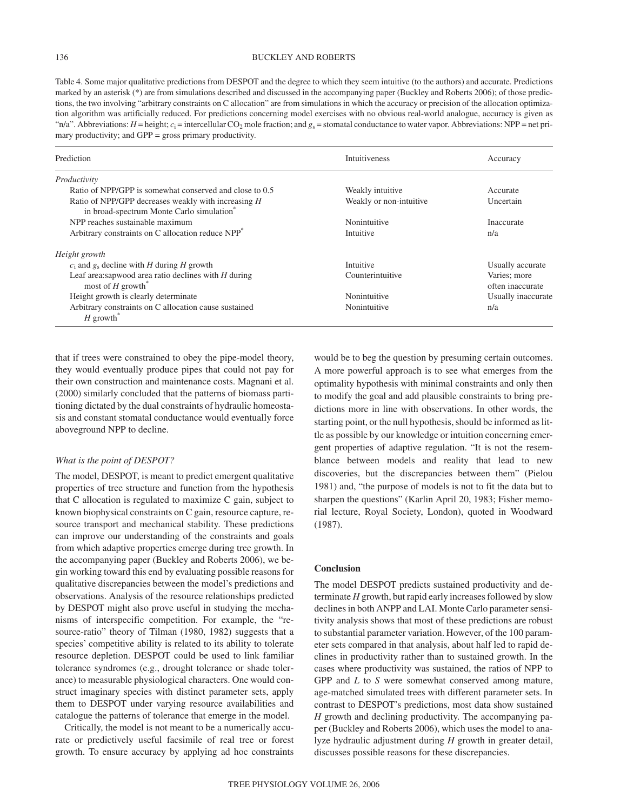# 136 BUCKLEY AND ROBERTS

Table 4. Some major qualitative predictions from DESPOT and the degree to which they seem intuitive (to the authors) and accurate. Predictions marked by an asterisk (\*) are from simulations described and discussed in the accompanying paper (Buckley and Roberts 2006); of those predictions, the two involving "arbitrary constraints on C allocation" are from simulations in which the accuracy or precision of the allocation optimization algorithm was artificially reduced. For predictions concerning model exercises with no obvious real-world analogue, accuracy is given as "n/a". Abbreviations:  $H =$  height;  $c_i =$  intercellular CO<sub>2</sub> mole fraction; and  $g_s =$  stomatal conductance to water vapor. Abbreviations: NPP = net primary productivity; and GPP = gross primary productivity.

| Prediction                                                                                                   | <b>Intuitiveness</b>    | Accuracy                         |
|--------------------------------------------------------------------------------------------------------------|-------------------------|----------------------------------|
| Productivity                                                                                                 |                         |                                  |
| Ratio of NPP/GPP is somewhat conserved and close to 0.5                                                      | Weakly intuitive        | Accurate                         |
| Ratio of NPP/GPP decreases weakly with increasing H<br>in broad-spectrum Monte Carlo simulation <sup>®</sup> | Weakly or non-intuitive | Uncertain                        |
| NPP reaches sustainable maximum                                                                              | Nonintuitive            | Inaccurate                       |
| Arbitrary constraints on C allocation reduce NPP <sup>*</sup>                                                | Intuitive               | n/a                              |
| Height growth                                                                                                |                         |                                  |
| $c_i$ and $g_s$ decline with H during H growth                                                               | Intuitive               | Usually accurate                 |
| Leaf area: sapwood area ratio declines with $H$ during<br>most of $H$ growth <sup>*</sup>                    | Counterintuitive        | Varies; more<br>often inaccurate |
| Height growth is clearly determinate                                                                         | Nonintuitive            | Usually inaccurate               |
| Arbitrary constraints on C allocation cause sustained<br>$H$ growth <sup>*</sup>                             | Nonintuitive            | n/a                              |

that if trees were constrained to obey the pipe-model theory, they would eventually produce pipes that could not pay for their own construction and maintenance costs. Magnani et al. (2000) similarly concluded that the patterns of biomass partitioning dictated by the dual constraints of hydraulic homeostasis and constant stomatal conductance would eventually force aboveground NPP to decline.

# *What is the point of DESPOT?*

The model, DESPOT, is meant to predict emergent qualitative properties of tree structure and function from the hypothesis that C allocation is regulated to maximize C gain, subject to known biophysical constraints on C gain, resource capture, resource transport and mechanical stability. These predictions can improve our understanding of the constraints and goals from which adaptive properties emerge during tree growth. In the accompanying paper (Buckley and Roberts 2006), we begin working toward this end by evaluating possible reasons for qualitative discrepancies between the model's predictions and observations. Analysis of the resource relationships predicted by DESPOT might also prove useful in studying the mechanisms of interspecific competition. For example, the "resource-ratio" theory of Tilman (1980, 1982) suggests that a species' competitive ability is related to its ability to tolerate resource depletion. DESPOT could be used to link familiar tolerance syndromes (e.g., drought tolerance or shade tolerance) to measurable physiological characters. One would construct imaginary species with distinct parameter sets, apply them to DESPOT under varying resource availabilities and catalogue the patterns of tolerance that emerge in the model.

Critically, the model is not meant to be a numerically accurate or predictively useful facsimile of real tree or forest growth. To ensure accuracy by applying ad hoc constraints would be to beg the question by presuming certain outcomes. A more powerful approach is to see what emerges from the optimality hypothesis with minimal constraints and only then to modify the goal and add plausible constraints to bring predictions more in line with observations. In other words, the starting point, or the null hypothesis, should be informed as little as possible by our knowledge or intuition concerning emergent properties of adaptive regulation. "It is not the resemblance between models and reality that lead to new discoveries, but the discrepancies between them" (Pielou 1981) and, "the purpose of models is not to fit the data but to sharpen the questions" (Karlin April 20, 1983; Fisher memorial lecture, Royal Society, London), quoted in Woodward (1987).

# **Conclusion**

The model DESPOT predicts sustained productivity and determinate *H* growth, but rapid early increases followed by slow declines in both ANPP and LAI. Monte Carlo parameter sensitivity analysis shows that most of these predictions are robust to substantial parameter variation. However, of the 100 parameter sets compared in that analysis, about half led to rapid declines in productivity rather than to sustained growth. In the cases where productivity was sustained, the ratios of NPP to GPP and *L* to *S* were somewhat conserved among mature, age-matched simulated trees with different parameter sets. In contrast to DESPOT's predictions, most data show sustained *H* growth and declining productivity. The accompanying paper (Buckley and Roberts 2006), which uses the model to analyze hydraulic adjustment during *H* growth in greater detail, discusses possible reasons for these discrepancies.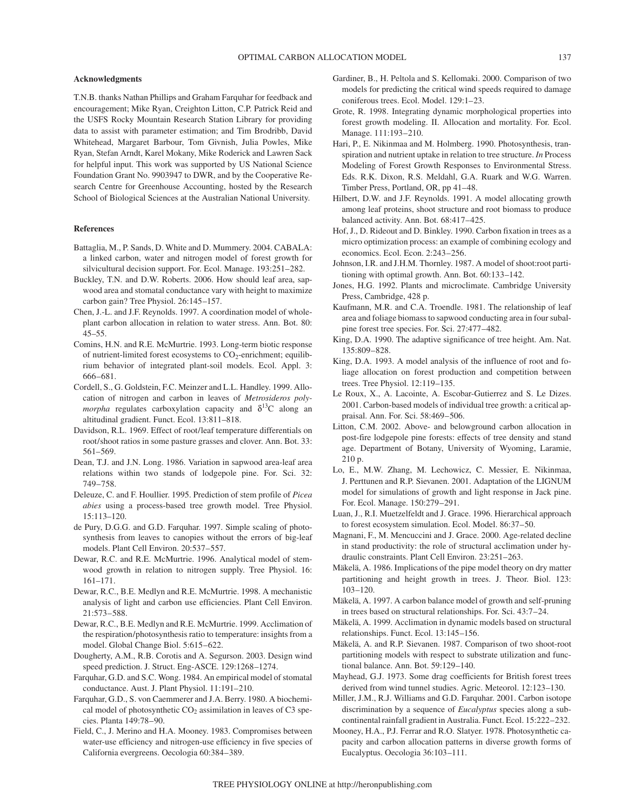# **Acknowledgments**

T.N.B. thanks Nathan Phillips and Graham Farquhar for feedback and encouragement; Mike Ryan, Creighton Litton, C.P. Patrick Reid and the USFS Rocky Mountain Research Station Library for providing data to assist with parameter estimation; and Tim Brodribb, David Whitehead, Margaret Barbour, Tom Givnish, Julia Powles, Mike Ryan, Stefan Arndt, Karel Mokany, Mike Roderick and Lawren Sack for helpful input. This work was supported by US National Science Foundation Grant No. 9903947 to DWR, and by the Cooperative Research Centre for Greenhouse Accounting, hosted by the Research School of Biological Sciences at the Australian National University.

#### **References**

- Battaglia, M., P. Sands, D. White and D. Mummery. 2004. CABALA: a linked carbon, water and nitrogen model of forest growth for silvicultural decision support. For. Ecol. Manage. 193:251–282.
- Buckley, T.N. and D.W. Roberts. 2006. How should leaf area, sapwood area and stomatal conductance vary with height to maximize carbon gain? Tree Physiol. 26:145–157.
- Chen, J.-L. and J.F. Reynolds. 1997. A coordination model of wholeplant carbon allocation in relation to water stress. Ann. Bot. 80: 45–55.
- Comins, H.N. and R.E. McMurtrie. 1993. Long-term biotic response of nutrient-limited forest ecosystems to  $CO_2$ -enrichment; equilibrium behavior of integrated plant-soil models. Ecol. Appl. 3: 666–681.
- Cordell, S., G. Goldstein, F.C. Meinzer and L.L. Handley. 1999. Allocation of nitrogen and carbon in leaves of *Metrosideros polymorpha* regulates carboxylation capacity and  $\delta^{13}$ C along an altitudinal gradient. Funct. Ecol. 13:811–818.
- Davidson, R.L. 1969. Effect of root/leaf temperature differentials on root/shoot ratios in some pasture grasses and clover. Ann. Bot. 33: 561–569.
- Dean, T.J. and J.N. Long. 1986. Variation in sapwood area-leaf area relations within two stands of lodgepole pine. For. Sci. 32: 749–758.
- Deleuze, C. and F. Houllier. 1995. Prediction of stem profile of *Picea abies* using a process-based tree growth model. Tree Physiol. 15:113–120.
- de Pury, D.G.G. and G.D. Farquhar. 1997. Simple scaling of photosynthesis from leaves to canopies without the errors of big-leaf models. Plant Cell Environ. 20:537–557.
- Dewar, R.C. and R.E. McMurtrie. 1996. Analytical model of stemwood growth in relation to nitrogen supply. Tree Physiol. 16: 161–171.
- Dewar, R.C., B.E. Medlyn and R.E. McMurtrie. 1998. A mechanistic analysis of light and carbon use efficiencies. Plant Cell Environ. 21:573–588.
- Dewar, R.C., B.E. Medlyn and R.E. McMurtrie. 1999. Acclimation of the respiration/photosynthesis ratio to temperature: insights from a model. Global Change Biol. 5:615–622.
- Dougherty, A.M., R.B. Corotis and A. Segurson. 2003. Design wind speed prediction. J. Struct. Eng-ASCE. 129:1268–1274.
- Farquhar, G.D. and S.C. Wong. 1984. An empirical model of stomatal conductance. Aust. J. Plant Physiol. 11:191–210.
- Farquhar, G.D., S. von Caemmerer and J.A. Berry. 1980. A biochemical model of photosynthetic  $CO<sub>2</sub>$  assimilation in leaves of C3 species. Planta 149:78–90.
- Field, C., J. Merino and H.A. Mooney. 1983. Compromises between water-use efficiency and nitrogen-use efficiency in five species of California evergreens. Oecologia 60:384–389.
- Gardiner, B., H. Peltola and S. Kellomaki. 2000. Comparison of two models for predicting the critical wind speeds required to damage coniferous trees. Ecol. Model. 129:1–23.
- Grote, R. 1998. Integrating dynamic morphological properties into forest growth modeling. II. Allocation and mortality. For. Ecol. Manage. 111:193–210.
- Hari, P., E. Nikinmaa and M. Holmberg. 1990. Photosynthesis, transpiration and nutrient uptake in relation to tree structure. *In* Process Modeling of Forest Growth Responses to Environmental Stress. Eds. R.K. Dixon, R.S. Meldahl, G.A. Ruark and W.G. Warren. Timber Press, Portland, OR, pp 41–48.
- Hilbert, D.W. and J.F. Reynolds. 1991. A model allocating growth among leaf proteins, shoot structure and root biomass to produce balanced activity. Ann. Bot. 68:417–425.
- Hof, J., D. Rideout and D. Binkley. 1990. Carbon fixation in trees as a micro optimization process: an example of combining ecology and economics. Ecol. Econ. 2:243–256.
- Johnson, I.R. and J.H.M. Thornley. 1987. A model of shoot:root partitioning with optimal growth. Ann. Bot. 60:133–142.
- Jones, H.G. 1992. Plants and microclimate. Cambridge University Press, Cambridge, 428 p.
- Kaufmann, M.R. and C.A. Troendle. 1981. The relationship of leaf area and foliage biomass to sapwood conducting area in four subalpine forest tree species. For. Sci. 27:477–482.
- King, D.A. 1990. The adaptive significance of tree height. Am. Nat. 135:809–828.
- King, D.A. 1993. A model analysis of the influence of root and foliage allocation on forest production and competition between trees. Tree Physiol. 12:119–135.
- Le Roux, X., A. Lacointe, A. Escobar-Gutierrez and S. Le Dizes. 2001. Carbon-based models of individual tree growth: a critical appraisal. Ann. For. Sci. 58:469–506.
- Litton, C.M. 2002. Above- and belowground carbon allocation in post-fire lodgepole pine forests: effects of tree density and stand age. Department of Botany, University of Wyoming, Laramie, 210 p.
- Lo, E., M.W. Zhang, M. Lechowicz, C. Messier, E. Nikinmaa, J. Perttunen and R.P. Sievanen. 2001. Adaptation of the LIGNUM model for simulations of growth and light response in Jack pine. For. Ecol. Manage. 150:279–291.
- Luan, J., R.I. Muetzelfeldt and J. Grace. 1996. Hierarchical approach to forest ecosystem simulation. Ecol. Model. 86:37–50.
- Magnani, F., M. Mencuccini and J. Grace. 2000. Age-related decline in stand productivity: the role of structural acclimation under hydraulic constraints. Plant Cell Environ. 23:251–263.
- Mäkelä, A. 1986. Implications of the pipe model theory on dry matter partitioning and height growth in trees. J. Theor. Biol. 123: 103–120.
- Mäkelä, A. 1997. A carbon balance model of growth and self-pruning in trees based on structural relationships. For. Sci. 43:7–24.
- Mäkelä, A. 1999. Acclimation in dynamic models based on structural relationships. Funct. Ecol. 13:145–156.
- Mäkelä, A. and R.P. Sievanen. 1987. Comparison of two shoot-root partitioning models with respect to substrate utilization and functional balance. Ann. Bot. 59:129–140.
- Mayhead, G.J. 1973. Some drag coefficients for British forest trees derived from wind tunnel studies. Agric. Meteorol. 12:123–130.
- Miller, J.M., R.J. Williams and G.D. Farquhar. 2001. Carbon isotope discrimination by a sequence of *Eucalyptus* species along a subcontinental rainfall gradient in Australia. Funct. Ecol. 15:222–232.
- Mooney, H.A., P.J. Ferrar and R.O. Slatyer. 1978. Photosynthetic capacity and carbon allocation patterns in diverse growth forms of Eucalyptus. Oecologia 36:103–111.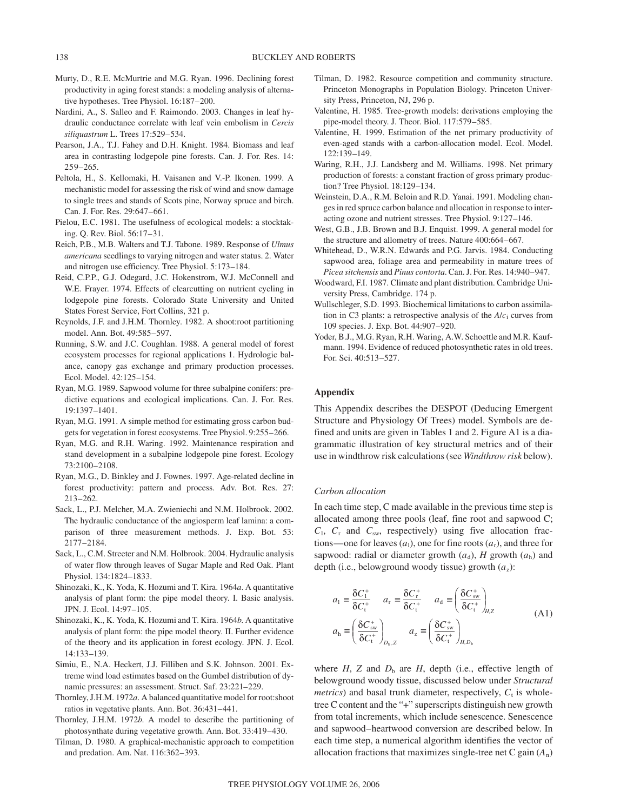- Murty, D., R.E. McMurtrie and M.G. Ryan. 1996. Declining forest productivity in aging forest stands: a modeling analysis of alternative hypotheses. Tree Physiol. 16:187–200.
- Nardini, A., S. Salleo and F. Raimondo. 2003. Changes in leaf hydraulic conductance correlate with leaf vein embolism in *Cercis siliquastrum* L. Trees 17:529–534.
- Pearson, J.A., T.J. Fahey and D.H. Knight. 1984. Biomass and leaf area in contrasting lodgepole pine forests. Can. J. For. Res. 14: 259–265.
- Peltola, H., S. Kellomaki, H. Vaisanen and V.-P. Ikonen. 1999. A mechanistic model for assessing the risk of wind and snow damage to single trees and stands of Scots pine, Norway spruce and birch. Can. J. For. Res. 29:647–661.
- Pielou, E.C. 1981. The usefulness of ecological models: a stocktaking. Q. Rev. Biol. 56:17–31.
- Reich, P.B., M.B. Walters and T.J. Tabone. 1989. Response of *Ulmus americana* seedlings to varying nitrogen and water status. 2. Water and nitrogen use efficiency. Tree Physiol. 5:173–184.
- Reid, C.P.P., G.J. Odegard, J.C. Hokenstrom, W.J. McConnell and W.E. Frayer. 1974. Effects of clearcutting on nutrient cycling in lodgepole pine forests. Colorado State University and United States Forest Service, Fort Collins, 321 p.
- Reynolds, J.F. and J.H.M. Thornley. 1982. A shoot:root partitioning model. Ann. Bot. 49:585–597.
- Running, S.W. and J.C. Coughlan. 1988. A general model of forest ecosystem processes for regional applications 1. Hydrologic balance, canopy gas exchange and primary production processes. Ecol. Model. 42:125–154.
- Ryan, M.G. 1989. Sapwood volume for three subalpine conifers: predictive equations and ecological implications. Can. J. For. Res. 19:1397–1401.
- Ryan, M.G. 1991. A simple method for estimating gross carbon budgets for vegetation in forest ecosystems. Tree Physiol. 9:255–266.
- Ryan, M.G. and R.H. Waring. 1992. Maintenance respiration and stand development in a subalpine lodgepole pine forest. Ecology 73:2100–2108.
- Ryan, M.G., D. Binkley and J. Fownes. 1997. Age-related decline in forest productivity: pattern and process. Adv. Bot. Res. 27: 213–262.
- Sack, L., P.J. Melcher, M.A. Zwieniechi and N.M. Holbrook. 2002. The hydraulic conductance of the angiosperm leaf lamina: a comparison of three measurement methods. J. Exp. Bot. 53: 2177–2184.
- Sack, L., C.M. Streeter and N.M. Holbrook. 2004. Hydraulic analysis of water flow through leaves of Sugar Maple and Red Oak. Plant Physiol. 134:1824–1833.
- Shinozaki, K., K. Yoda, K. Hozumi and T. Kira. 1964*a*. A quantitative analysis of plant form: the pipe model theory. I. Basic analysis. JPN. J. Ecol. 14:97–105.
- Shinozaki, K., K. Yoda, K. Hozumi and T. Kira. 1964*b*. A quantitative analysis of plant form: the pipe model theory. II. Further evidence of the theory and its application in forest ecology. JPN. J. Ecol. 14:133–139.
- Simiu, E., N.A. Heckert, J.J. Filliben and S.K. Johnson. 2001. Extreme wind load estimates based on the Gumbel distribution of dynamic pressures: an assessment. Struct. Saf. 23:221–229.
- Thornley, J.H.M. 1972*a*. A balanced quantitative model for root:shoot ratios in vegetative plants. Ann. Bot. 36:431–441.
- Thornley, J.H.M. 1972*b*. A model to describe the partitioning of photosynthate during vegetative growth. Ann. Bot. 33:419–430.
- Tilman, D. 1980. A graphical-mechanistic approach to competition and predation. Am. Nat. 116:362–393.
- Tilman, D. 1982. Resource competition and community structure. Princeton Monographs in Population Biology. Princeton University Press, Princeton, NJ, 296 p.
- Valentine, H. 1985. Tree-growth models: derivations employing the pipe-model theory. J. Theor. Biol. 117:579–585.
- Valentine, H. 1999. Estimation of the net primary productivity of even-aged stands with a carbon-allocation model. Ecol. Model. 122:139–149.
- Waring, R.H., J.J. Landsberg and M. Williams. 1998. Net primary production of forests: a constant fraction of gross primary production? Tree Physiol. 18:129–134.
- Weinstein, D.A., R.M. Beloin and R.D. Yanai. 1991. Modeling changes in red spruce carbon balance and allocation in response to interacting ozone and nutrient stresses. Tree Physiol. 9:127–146.
- West, G.B., J.B. Brown and B.J. Enquist. 1999. A general model for the structure and allometry of trees. Nature 400:664–667.
- Whitehead, D., W.R.N. Edwards and P.G. Jarvis. 1984. Conducting sapwood area, foliage area and permeability in mature trees of *Picea sitchensis* and *Pinus contorta*. Can. J. For. Res. 14:940–947.
- Woodward, F.I. 1987. Climate and plant distribution. Cambridge University Press, Cambridge. 174 p.
- Wullschleger, S.D. 1993. Biochemical limitations to carbon assimilation in C3 plants: a retrospective analysis of the  $A/c<sub>i</sub>$  curves from 109 species. J. Exp. Bot. 44:907–920.
- Yoder, B.J., M.G. Ryan, R.H. Waring, A.W. Schoettle and M.R. Kaufmann. 1994. Evidence of reduced photosynthetic rates in old trees. For. Sci. 40:513–527.

### **Appendix**

This Appendix describes the DESPOT (Deducing Emergent Structure and Physiology Of Trees) model. Symbols are defined and units are given in Tables 1 and 2. Figure A1 is a diagrammatic illustration of key structural metrics and of their use in windthrow risk calculations (see *Windthrow risk* below).

# *Carbon allocation*

In each time step, C made available in the previous time step is allocated among three pools (leaf, fine root and sapwood C;  $C_1$ ,  $C_r$  and  $C_{sw}$ , respectively) using five allocation fractions—one for leaves  $(a_1)$ , one for fine roots  $(a_r)$ , and three for sapwood: radial or diameter growth  $(a_d)$ , *H* growth  $(a_h)$  and depth (i.e., belowground woody tissue) growth  $(a_2)$ :

$$
a_1 \equiv \frac{\delta C_1^+}{\delta C_1^+} \quad a_r \equiv \frac{\delta C_r^+}{\delta C_1^+} \quad a_d \equiv \left(\frac{\delta C_{sw}^+}{\delta C_1^+}\right)_{H,Z}
$$
  
\n
$$
a_h \equiv \left(\frac{\delta C_{sw}^+}{\delta C_1^+}\right)_{D_b, Z} \quad a_z \equiv \left(\frac{\delta C_{sw}^+}{\delta C_1^+}\right)_{H, D_b}
$$
\n(A1)

where  $H$ ,  $Z$  and  $D<sub>b</sub>$  are  $H$ , depth (i.e., effective length of belowground woody tissue, discussed below under *Structural metrics*) and basal trunk diameter, respectively,  $C_t$  is wholetree C content and the "+" superscripts distinguish new growth from total increments, which include senescence. Senescence and sapwood–heartwood conversion are described below. In each time step, a numerical algorithm identifies the vector of allocation fractions that maximizes single-tree net C gain (*A*n)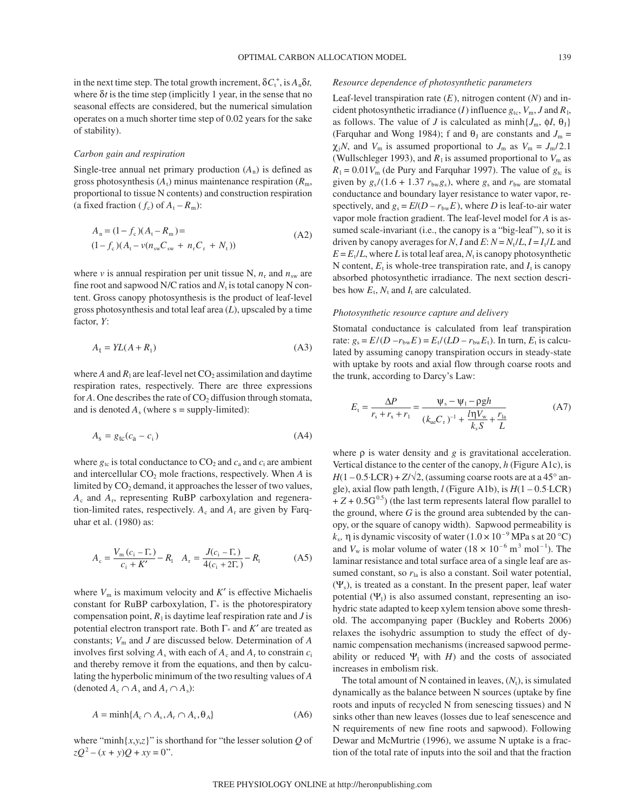in the next time step. The total growth increment,  $\delta C_t^+$ , is  $A_n \delta t$ , where  $\delta t$  is the time step (implicitly 1 year, in the sense that no seasonal effects are considered, but the numerical simulation operates on a much shorter time step of 0.02 years for the sake of stability).

#### *Carbon gain and respiration*

Single-tree annual net primary production  $(A_n)$  is defined as gross photosynthesis  $(A_t)$  minus maintenance respiration  $(R_m)$ , proportional to tissue N contents) and construction respiration (a fixed fraction  $(f_c)$  of  $A_t - R_m$ ):

$$
A_n = (1 - f_c)(A_t - R_m) =
$$
  
(1 - f\_c)(A\_t - v(n\_{sw}C\_{sw} + n\_rC\_r + N\_t)) (A2)

where *v* is annual respiration per unit tissue N,  $n_r$  and  $n_{sw}$  are fine root and sapwood N/C ratios and  $N_t$  is total canopy N content. Gross canopy photosynthesis is the product of leaf-level gross photosynthesis and total leaf area (*L*), upscaled by a time factor, *Y*:

$$
A_t = YL(A + R_1) \tag{A3}
$$

where  $A$  and  $R_1$  are leaf-level net  $CO_2$  assimilation and daytime respiration rates, respectively. There are three expressions for  $A$ . One describes the rate of  $CO<sub>2</sub>$  diffusion through stomata, and is denoted  $A_s$  (where  $s =$  supply-limited):

$$
A_{\rm s} = g_{\rm tc}(c_{\rm a} - c_{\rm i})\tag{A4}
$$

where  $g_{tc}$  is total conductance to  $CO_2$  and  $c_a$  and  $c_i$  are ambient and intercellular  $CO<sub>2</sub>$  mole fractions, respectively. When  $A$  is limited by  $CO<sub>2</sub>$  demand, it approaches the lesser of two values, *A*<sup>c</sup> and *A*r, representing RuBP carboxylation and regeneration-limited rates, respectively.  $A_c$  and  $A_r$  are given by Farquhar et al. (1980) as:

$$
A_{\rm c} = \frac{V_{\rm m} (c_{\rm i} - \Gamma_{\ast})}{c_{\rm i} + K'} - R_{\rm l} \quad A_{\rm r} = \frac{J(c_{\rm i} - \Gamma_{\ast})}{4(c_{\rm i} + 2\Gamma_{\ast})} - R_{\rm l} \tag{A5}
$$

where  $V_m$  is maximum velocity and  $K'$  is effective Michaelis constant for RuBP carboxylation,  $\Gamma^*$  is the photorespiratory compensation point,  $R_1$  is daytime leaf respiration rate and *J* is potential electron transport rate. Both Γ\* and *K*′ are treated as constants; *V*<sup>m</sup> and *J* are discussed below. Determination of *A* involves first solving  $A_s$  with each of  $A_c$  and  $A_r$  to constrain  $c_i$ and thereby remove it from the equations, and then by calculating the hyperbolic minimum of the two resulting values of *A* (denoted  $A_c \cap A_s$  and  $A_r \cap A_s$ ):

$$
A = \min\{A_c \cap A_s, A_r \cap A_s, \theta_A\} \tag{A6}
$$

where "minh $\{x,y,z\}$ " is shorthand for "the lesser solution *Q* of  $zQ^{2} - (x + y)Q + xy = 0$ ".

# *Resource dependence of photosynthetic parameters*

Leaf-level transpiration rate (*E*), nitrogen content (*N*) and incident photosynthetic irradiance (*I*) influence  $g_{tc}$ ,  $V_m$ , *J* and  $R_l$ , as follows. The value of *J* is calculated as  $min\{J_m, \phi J, \theta_J\}$ (Farquhar and Wong 1984); f and  $\theta_J$  are constants and  $J_m$  =  $\chi_j N$ , and  $V_m$  is assumed proportional to  $J_m$  as  $V_m = J_m/2.1$ (Wullschleger 1993), and  $R_1$  is assumed proportional to  $V_m$  as  $R_1 = 0.01 V_m$  (de Pury and Farquhar 1997). The value of  $g_{tc}$  is given by  $g_s/(1.6 + 1.37 r_{bw}g_s)$ , where  $g_s$  and  $r_{bw}$  are stomatal conductance and boundary layer resistance to water vapor, respectively, and  $g_s = E/(D - r_{bw}E)$ , where *D* is leaf-to-air water vapor mole fraction gradient. The leaf-level model for *A* is assumed scale-invariant (i.e., the canopy is a "big-leaf"), so it is driven by canopy averages for *N*, *I* and *E*:  $N = N_t/L$ ,  $I = I_t/L$  and  $E = E_t/L$ , where *L* is total leaf area,  $N_t$  is canopy photosynthetic N content,  $E_t$  is whole-tree transpiration rate, and  $I_t$  is canopy absorbed photosynthetic irradiance. The next section describes how  $E_t$ ,  $N_t$  and  $I_t$  are calculated.

#### *Photosynthetic resource capture and delivery*

Stomatal conductance is calculated from leaf transpiration rate:  $g_s = E/(D - r_{bw}E) = E_t/(LD - r_{bw}E_t)$ . In turn,  $E_t$  is calculated by assuming canopy transpiration occurs in steady-state with uptake by roots and axial flow through coarse roots and the trunk, according to Darcy's Law:

$$
E_{t} = \frac{\Delta P}{r_{s} + r_{x} + r_{1}} = \frac{\Psi_{s} - \Psi_{1} - \rho g h}{(k_{ue}C_{r})^{-1} + \frac{l\eta V_{w}}{k_{s}S} + \frac{r_{la}}{L}}
$$
(A7)

where  $\rho$  is water density and  $g$  is gravitational acceleration. Vertical distance to the center of the canopy, *h* (Figure A1c), is  $H(1-0.5 \cdot LCR) + Z/\sqrt{2}$ , (assuming coarse roots are at a 45° angle), axial flow path length,  $l$  (Figure A1b), is  $H(1 - 0.5 \cdot LCR)$  $+ Z + 0.5G<sup>0.5</sup>$ ) (the last term represents lateral flow parallel to the ground, where *G* is the ground area subtended by the canopy, or the square of canopy width). Sapwood permeability is  $k_s$ ,  $\eta$  is dynamic viscosity of water (1.0  $\times$  10<sup>-9</sup> MPa s at 20 °C) and  $V_w$  is molar volume of water ( $18 \times 10^{-6}$  m<sup>3</sup> mol<sup>-1</sup>). The laminar resistance and total surface area of a single leaf are assumed constant, so  $r_{\rm la}$  is also a constant. Soil water potential,  $(\Psi_s)$ , is treated as a constant. In the present paper, leaf water potential  $(\Psi_1)$  is also assumed constant, representing an isohydric state adapted to keep xylem tension above some threshold. The accompanying paper (Buckley and Roberts 2006) relaxes the isohydric assumption to study the effect of dynamic compensation mechanisms (increased sapwood permeability or reduced  $\Psi_1$  with *H*) and the costs of associated increases in embolism risk.

The total amount of N contained in leaves,  $(N_t)$ , is simulated dynamically as the balance between N sources (uptake by fine roots and inputs of recycled N from senescing tissues) and N sinks other than new leaves (losses due to leaf senescence and N requirements of new fine roots and sapwood). Following Dewar and McMurtrie (1996), we assume N uptake is a fraction of the total rate of inputs into the soil and that the fraction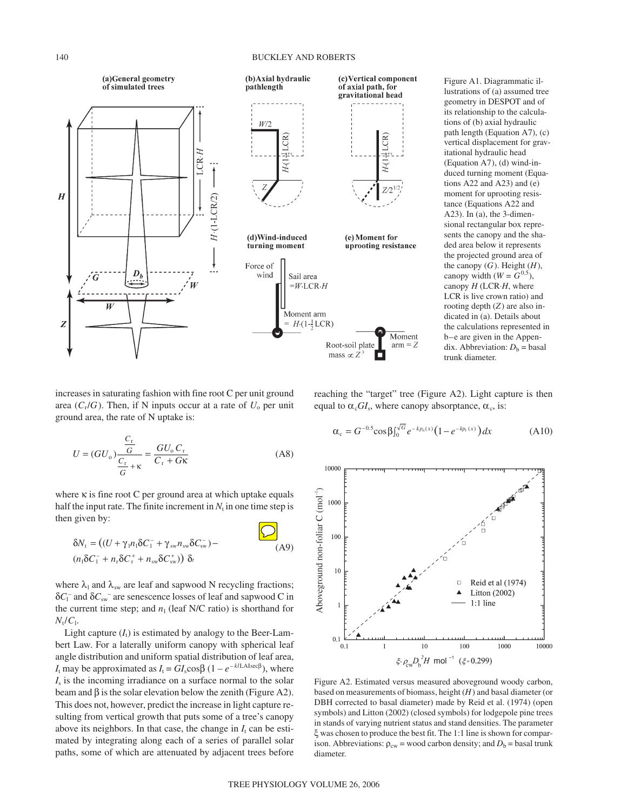# 140 BUCKLEY AND ROBERTS



Figure A1. Diagrammatic illustrations of (a) assumed tree geometry in DESPOT and of its relationship to the calculations of (b) axial hydraulic path length (Equation A7), (c) vertical displacement for gravitational hydraulic head (Equation A7), (d) wind-induced turning moment (Equations A22 and A23) and (e) moment for uprooting resistance (Equations A22 and A23). In (a), the 3-dimensional rectangular box represents the canopy and the shaded area below it represents the projected ground area of the canopy  $(G)$ . Height  $(H)$ , canopy width  $(W = G^{0.5})$ , canopy *H* (LCR⋅*H*, where LCR is live crown ratio) and rooting depth (*Z*) are also indicated in (a). Details about the calculations represented in b–e are given in the Appendix. Abbreviation:  $D_b$  = basal trunk diameter.

increases in saturating fashion with fine root C per unit ground area  $(C_r/G)$ . Then, if N inputs occur at a rate of  $U_0$  per unit ground area, the rate of N uptake is:

$$
U = (GU_{o}) \frac{\frac{C_{r}}{G}}{\frac{C_{r}}{G} + \kappa} = \frac{GU_{o} C_{r}}{C_{r} + G\kappa}
$$
 (A8)

where κ is fine root C per ground area at which uptake equals half the input rate. The finite increment in  $N_t$  in one time step is then given by:  $\Box$ 

$$
\delta N_{\rm t} = ((U + \gamma_1 n_1 \delta C_1^{\top} + \gamma_{\rm sw} n_{\rm sw} \delta C_{\rm sw}^{\top}) -
$$
  
(A9)  

$$
(n_1 \delta C_1^{\top} + n_{\rm s} \delta C_{\rm tr}^{\top} + n_{\rm sw} \delta C_{\rm sw}^{\top}) \delta
$$

where  $\lambda_1$  and  $\lambda_{sw}$  are leaf and sapwood N recycling fractions; δ*C*<sup>l</sup> – and δ*C*sw– are senescence losses of leaf and sapwood C in the current time step; and  $n_1$  (leaf N/C ratio) is shorthand for  $N_t/C_1$ .

Light capture  $(I_t)$  is estimated by analogy to the Beer-Lambert Law. For a laterally uniform canopy with spherical leaf angle distribution and uniform spatial distribution of leaf area,  $I_t$  may be approximated as  $I_t = GI_s \cos\beta (1 - e^{-k/L \text{Also} \cos\beta})$ , where  $I<sub>s</sub>$  is the incoming irradiance on a surface normal to the solar beam and  $\beta$  is the solar elevation below the zenith (Figure A2). This does not, however, predict the increase in light capture resulting from vertical growth that puts some of a tree's canopy above its neighbors. In that case, the change in  $I_t$  can be estimated by integrating along each of a series of parallel solar paths, some of which are attenuated by adjacent trees before reaching the "target" tree (Figure A2). Light capture is then equal to  $\alpha_c G I_s$ , where canopy absorptance,  $\alpha_c$ , is:

$$
\alpha_c = G^{-0.5} \cos \beta \int_0^{\sqrt{G}} e^{-k p_n(x)} (1 - e^{-k p_n(x)}) dx \tag{A10}
$$



Figure A2. Estimated versus measured aboveground woody carbon, based on measurements of biomass, height (*H*) and basal diameter (or DBH corrected to basal diameter) made by Reid et al. (1974) (open symbols) and Litton (2002) (closed symbols) for lodgepole pine trees in stands of varying nutrient status and stand densities. The parameter ξ was chosen to produce the best fit. The 1:1 line is shown for comparison. Abbreviations:  $\rho_{cw}$  = wood carbon density; and  $D_b$  = basal trunk diameter.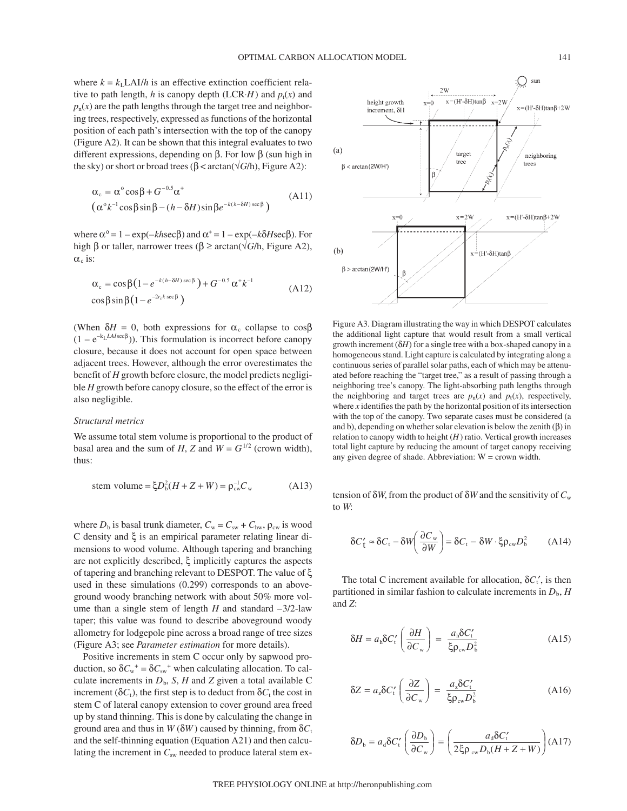where  $k = k_L L A I/h$  is an effective extinction coefficient relative to path length, *h* is canopy depth (LCR⋅*H*) and  $p_t(x)$  and  $p_n(x)$  are the path lengths through the target tree and neighboring trees, respectively, expressed as functions of the horizontal position of each path's intersection with the top of the canopy (Figure A2). It can be shown that this integral evaluates to two different expressions, depending on β. For low β (sun high in the sky) or short or broad trees ( $β < \arctan(\sqrt{G/h})$ , Figure A2):

$$
\begin{aligned} \alpha_{\rm c} &= \alpha^{\circ} \cos \beta + G^{-0.5} \alpha^{+} \\ \left(\alpha^{\circ} k^{-1} \cos \beta \sin \beta - (h - \delta H) \sin \beta e^{-k(h - \delta H) \sec \beta}\right) \end{aligned} \tag{A11}
$$

where  $\alpha^{\circ} = 1 - \exp(-kh \sec \beta)$  and  $\alpha^{\dagger} = 1 - \exp(-k \delta H \sec \beta)$ . For high β or taller, narrower trees ( $\beta \geq \arctan(\sqrt{G/h})$ , Figure A2),  $\alpha_c$  is:

$$
\alpha_c = \cos\beta \left(1 - e^{-k(h-\delta H)\sec\beta}\right) + G^{-0.5} \alpha^+ k^{-1}
$$
\n
$$
\cos\beta \sin\beta \left(1 - e^{-2r_c k \sec\beta}\right)
$$
\n(A12)

(When  $\delta H = 0$ , both expressions for  $\alpha_c$  collapse to  $\cos\beta$  $(1 - e^{-k_L L A I \sec \beta})$ ). This formulation is incorrect before canopy closure, because it does not account for open space between adjacent trees. However, although the error overestimates the benefit of *H* growth before closure, the model predicts negligible *H* growth before canopy closure, so the effect of the error is also negligible.

# *Structural metrics*

We assume total stem volume is proportional to the product of basal area and the sum of *H*, *Z* and  $W = G^{1/2}$  (crown width), thus:

stem volume = 
$$
\xi D_b^2 (H + Z + W) = \rho_{cw}^{-1} C_w
$$
 (A13)

where  $D_b$  is basal trunk diameter,  $C_w = C_{sw} + C_{hw}$ ,  $\rho_{cw}$  is wood C density and ξ is an empirical parameter relating linear dimensions to wood volume. Although tapering and branching are not explicitly described, ξ implicitly captures the aspects of tapering and branching relevant to DESPOT. The value of ξ used in these simulations (0.299) corresponds to an aboveground woody branching network with about 50% more volume than a single stem of length  $H$  and standard  $-3/2$ -law taper; this value was found to describe aboveground woody allometry for lodgepole pine across a broad range of tree sizes (Figure A3; see *Parameter estimation* for more details).

Positive increments in stem C occur only by sapwood production, so  $\delta C_w^+ = \delta C_{sw}^+$  when calculating allocation. To calculate increments in  $D_b$ , *S*, *H* and *Z* given a total available C increment ( $\delta C_t$ ), the first step is to deduct from  $\delta C_t$  the cost in stem C of lateral canopy extension to cover ground area freed up by stand thinning. This is done by calculating the change in ground area and thus in  $W(\delta W)$  caused by thinning, from  $\delta C_t$ and the self-thinning equation (Equation A21) and then calculating the increment in  $C_{sw}$  needed to produce lateral stem ex-



Figure A3. Diagram illustrating the way in which DESPOT calculates the additional light capture that would result from a small vertical growth increment (δ*H*) for a single tree with a box-shaped canopy in a homogeneous stand. Light capture is calculated by integrating along a continuous series of parallel solar paths, each of which may be attenuated before reaching the "target tree," as a result of passing through a neighboring tree's canopy. The light-absorbing path lengths through the neighboring and target trees are  $p_n(x)$  and  $p_t(x)$ , respectively, where *x* identifies the path by the horizontal position of its intersection with the top of the canopy. Two separate cases must be considered (a and b), depending on whether solar elevation is below the zenith  $(\beta)$  in relation to canopy width to height  $(H)$  ratio. Vertical growth increases total light capture by reducing the amount of target canopy receiving any given degree of shade. Abbreviation: W = crown width.

tension of δ*W*, from the product of δ*W* and the sensitivity of *C*<sup>w</sup> to *W*:

$$
\delta C'_t \approx \delta C_t - \delta W \left( \frac{\partial C_w}{\partial W} \right) = \delta C_t - \delta W \cdot \xi \rho_{cw} D_b^2 \tag{A14}
$$

The total C increment available for allocation,  $\delta C_t'$ , is then partitioned in similar fashion to calculate increments in  $D<sub>b</sub>$ , *H* and *Z*:

$$
\delta H = a_{\rm h} \delta C_{\rm t}' \left( \frac{\partial H}{\partial C_{\rm w}} \right) = \frac{a_{\rm h} \delta C_{\rm t}'}{\xi \rho_{\rm cw} D_{\rm b}^2} \tag{A15}
$$

$$
\delta Z = a_z \delta C_t' \left( \frac{\partial Z}{\partial C_w} \right) = \frac{a_z \delta C_t'}{\xi \rho_{cw} D_b^2}
$$
 (A16)

$$
\delta D_{\rm b} = a_{\rm d} \delta C_{\rm t}' \left( \frac{\partial D_{\rm b}}{\partial C_{\rm w}} \right) = \left( \frac{a_{\rm d} \delta C_{\rm t}'}{2 \xi \rho_{\rm cw} D_{\rm b}(H + Z + W)} \right) (\text{A17})
$$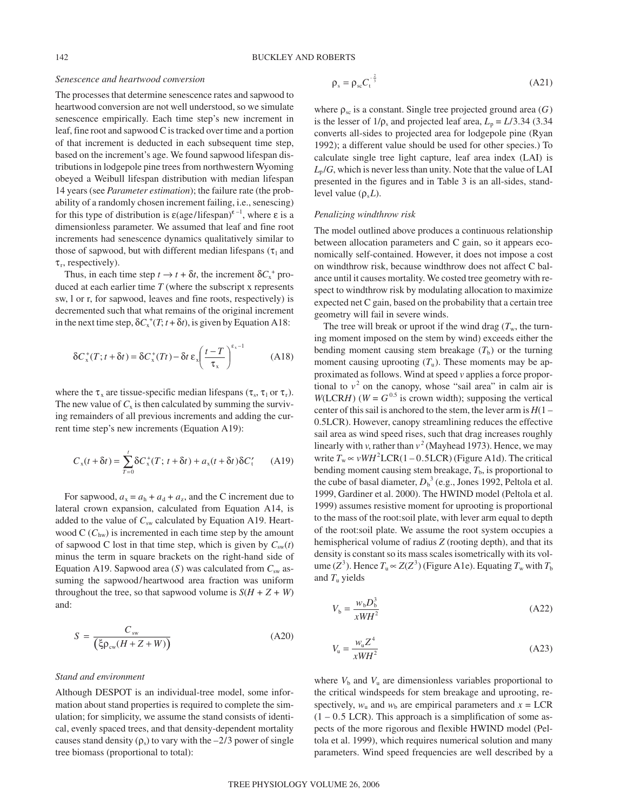# *Senescence and heartwood conversion*

The processes that determine senescence rates and sapwood to heartwood conversion are not well understood, so we simulate senescence empirically. Each time step's new increment in leaf, fine root and sapwood C is tracked over time and a portion of that increment is deducted in each subsequent time step, based on the increment's age. We found sapwood lifespan distributions in lodgepole pine trees from northwestern Wyoming obeyed a Weibull lifespan distribution with median lifespan 14 years (see *Parameter estimation*); the failure rate (the probability of a randomly chosen increment failing, i.e., senescing) for this type of distribution is  $\varepsilon$ (age/lifespan)<sup> $\varepsilon$ -1</sup>, where ε is a dimensionless parameter. We assumed that leaf and fine root increments had senescence dynamics qualitatively similar to those of sapwood, but with different median lifespans ( $\tau_1$  and  $\tau_r$ , respectively).

Thus, in each time step  $t \to t + \delta t$ , the increment  $\delta C_{x}^{+}$  produced at each earlier time *T* (where the subscript x represents sw, l or r, for sapwood, leaves and fine roots, respectively) is decremented such that what remains of the original increment in the next time step,  $\delta C_x^+(T; t + \delta t)$ , is given by Equation A18:

$$
\delta C_x^+(T; t + \delta t) = \delta C_x^+(Tt) - \delta t \, \varepsilon_x \bigg(\frac{t - T}{\tau_x}\bigg)^{\varepsilon_x - 1} \tag{A18}
$$

where the  $\tau_x$  are tissue-specific median lifespans ( $\tau_s$ ,  $\tau_1$  or  $\tau_r$ ). The new value of  $C_x$  is then calculated by summing the surviving remainders of all previous increments and adding the current time step's new increments (Equation A19):

$$
C_x(t + \delta t) = \sum_{T=0}^{t} \delta C_x^+(T; t + \delta t) + a_x(t + \delta t) \delta C_t' \qquad (A19)
$$

For sapwood,  $a_x = a_h + a_d + a_z$ , and the C increment due to lateral crown expansion, calculated from Equation A14, is added to the value of  $C_{sw}$  calculated by Equation A19. Heartwood  $C$  ( $C_{\text{hw}}$ ) is incremented in each time step by the amount of sapwood C lost in that time step, which is given by  $C_{sw}(t)$ minus the term in square brackets on the right-hand side of Equation A19. Sapwood area  $(S)$  was calculated from  $C_{sw}$  assuming the sapwood/heartwood area fraction was uniform throughout the tree, so that sapwood volume is  $S(H + Z + W)$ and:

$$
S = \frac{C_{\text{sw}}}{\left(\xi \rho_{\text{cw}} (H + Z + W)\right)}\tag{A20}
$$

# *Stand and environment*

Although DESPOT is an individual-tree model, some information about stand properties is required to complete the simulation; for simplicity, we assume the stand consists of identical, evenly spaced trees, and that density-dependent mortality causes stand density  $(\rho_s)$  to vary with the –2/3 power of single tree biomass (proportional to total):

$$
\rho_s = \rho_{sc} C_t^{-\frac{2}{3}} \tag{A21}
$$

where  $\rho_{\rm sc}$  is a constant. Single tree projected ground area  $(G)$ is the lesser of  $1/\rho_s$  and projected leaf area,  $L_p = L/3.34$  (3.34) converts all-sides to projected area for lodgepole pine (Ryan 1992); a different value should be used for other species.) To calculate single tree light capture, leaf area index (LAI) is  $L_p/G$ , which is never less than unity. Note that the value of LAI presented in the figures and in Table 3 is an all-sides, standlevel value  $(\rho_s L)$ .

#### *Penalizing windthrow risk*

The model outlined above produces a continuous relationship between allocation parameters and C gain, so it appears economically self-contained. However, it does not impose a cost on windthrow risk, because windthrow does not affect C balance until it causes mortality. We costed tree geometry with respect to windthrow risk by modulating allocation to maximize expected net C gain, based on the probability that a certain tree geometry will fail in severe winds.

The tree will break or uproot if the wind drag  $(T_w)$ , the turning moment imposed on the stem by wind) exceeds either the bending moment causing stem breakage  $(T<sub>b</sub>)$  or the turning moment causing uprooting  $(T_u)$ . These moments may be approximated as follows. Wind at speed *v* applies a force proportional to  $v^2$  on the canopy, whose "sail area" in calm air is *W*(LCR*H*) ( $W = G^{0.5}$  is crown width); supposing the vertical center of this sail is anchored to the stem, the lever arm is *H*(1 – 0.5LCR). However, canopy streamlining reduces the effective sail area as wind speed rises, such that drag increases roughly linearly with *v*, rather than  $v^2$  (Mayhead 1973). Hence, we may write  $T_w \propto vWH^2 LCR(1 - 0.5LCR)$  (Figure A1d). The critical bending moment causing stem breakage,  $T<sub>b</sub>$ , is proportional to the cube of basal diameter,  $D_b^3$  (e.g., Jones 1992, Peltola et al. 1999, Gardiner et al. 2000). The HWIND model (Peltola et al. 1999) assumes resistive moment for uprooting is proportional to the mass of the root:soil plate, with lever arm equal to depth of the root:soil plate. We assume the root system occupies a hemispherical volume of radius *Z* (rooting depth), and that its density is constant so its mass scales isometrically with its volume ( $Z^3$ ). Hence  $T_u \propto Z(Z^3)$  (Figure A1e). Equating  $T_w$  with  $T_b$ and  $T_{\rm u}$  yields

$$
V_{\mathrm{b}} = \frac{w_{\mathrm{b}} D_{\mathrm{b}}^3}{x W H^2} \tag{A22}
$$

$$
V_{\mathrm{u}} = \frac{w_{\mathrm{u}} Z^4}{x W H^2} \tag{A23}
$$

where  $V<sub>b</sub>$  and  $V<sub>u</sub>$  are dimensionless variables proportional to the critical windspeeds for stem breakage and uprooting, respectively,  $w_u$  and  $w_b$  are empirical parameters and  $x = LCR$  $(1 - 0.5$  LCR). This approach is a simplification of some aspects of the more rigorous and flexible HWIND model (Peltola et al. 1999), which requires numerical solution and many parameters. Wind speed frequencies are well described by a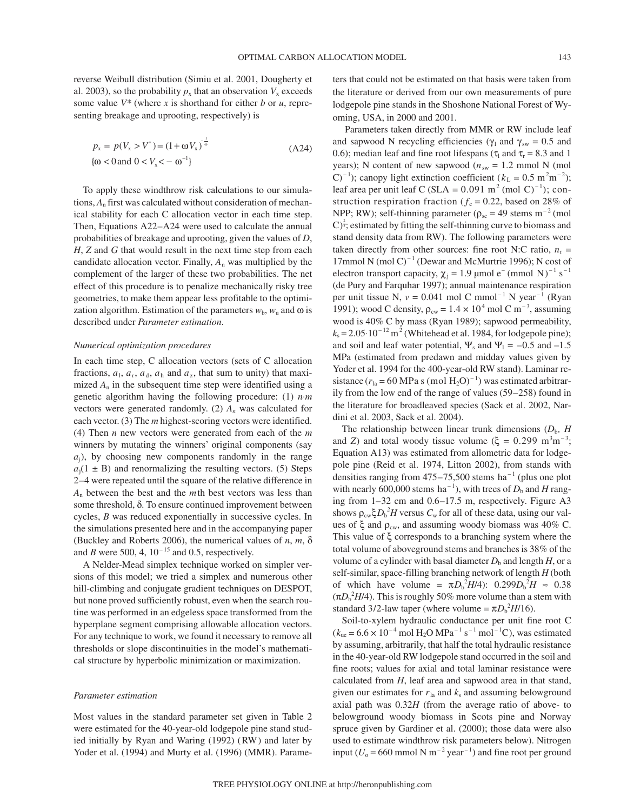reverse Weibull distribution (Simiu et al. 2001, Dougherty et al. 2003), so the probability  $p_x$  that an observation  $V_x$  exceeds some value *V\** (where *x* is shorthand for either *b* or *u*, representing breakage and uprooting, respectively) is

$$
p_x = p(V_x > V^*) = (1 + \omega V_x)^{\frac{1}{\omega}}
$$
  
{ $\omega$  < 0 and 0 < V\_x < -\omega^{-1}} (A24)

To apply these windthrow risk calculations to our simulations, *A*<sup>n</sup> first was calculated without consideration of mechanical stability for each C allocation vector in each time step. Then, Equations A22–A24 were used to calculate the annual probabilities of breakage and uprooting, given the values of *D*, *H*, *Z* and *G* that would result in the next time step from each candidate allocation vector. Finally,  $A_n$  was multiplied by the complement of the larger of these two probabilities. The net effect of this procedure is to penalize mechanically risky tree geometries, to make them appear less profitable to the optimization algorithm. Estimation of the parameters  $w_b$ ,  $w_u$  and  $\omega$  is described under *Parameter estimation*.

#### *Numerical optimization procedures*

In each time step, C allocation vectors (sets of C allocation fractions,  $a_1$ ,  $a_r$ ,  $a_d$ ,  $a_h$  and  $a_z$ , that sum to unity) that maximized  $A_n$  in the subsequent time step were identified using a genetic algorithm having the following procedure: (1) *n*⋅*m* vectors were generated randomly. (2) *An* was calculated for each vector. (3) The *m* highest-scoring vectors were identified. (4) Then *n* new vectors were generated from each of the *m* winners by mutating the winners' original components (say  $a_i$ ), by choosing new components randomly in the range  $a_i(1 \pm B)$  and renormalizing the resulting vectors. (5) Steps 2–4 were repeated until the square of the relative difference in *A*<sup>n</sup> between the best and the *m*th best vectors was less than some threshold, δ. To ensure continued improvement between cycles, *B* was reduced exponentially in successive cycles. In the simulations presented here and in the accompanying paper (Buckley and Roberts 2006), the numerical values of *n*, *m*, δ and *B* were 500, 4,  $10^{-15}$  and 0.5, respectively.

A Nelder-Mead simplex technique worked on simpler versions of this model; we tried a simplex and numerous other hill-climbing and conjugate gradient techniques on DESPOT, but none proved sufficiently robust, even when the search routine was performed in an edgeless space transformed from the hyperplane segment comprising allowable allocation vectors. For any technique to work, we found it necessary to remove all thresholds or slope discontinuities in the model's mathematical structure by hyperbolic minimization or maximization.

### *Parameter estimation*

Most values in the standard parameter set given in Table 2 were estimated for the 40-year-old lodgepole pine stand studied initially by Ryan and Waring (1992) (RW) and later by Yoder et al. (1994) and Murty et al. (1996) (MMR). Parameters that could not be estimated on that basis were taken from the literature or derived from our own measurements of pure lodgepole pine stands in the Shoshone National Forest of Wyoming, USA, in 2000 and 2001.

Parameters taken directly from MMR or RW include leaf and sapwood N recycling efficiencies ( $\gamma_1$  and  $\gamma_{sw} = 0.5$  and 0.6); median leaf and fine root lifespans ( $\tau_1$  and  $\tau_r$  = 8.3 and 1 years); N content of new sapwood ( $n<sub>sw</sub> = 1.2$  mmol N (mol C)<sup>-1</sup>); canopy light extinction coefficient ( $k<sub>L</sub> = 0.5$  m<sup>2</sup>m<sup>-2</sup>); leaf area per unit leaf C (SLA =  $0.091$  m<sup>2</sup> (mol C)<sup>-1</sup>); construction respiration fraction ( $f_c = 0.22$ , based on 28% of NPP; RW); self-thinning parameter ( $\rho_{sc}$  = 49 stems m<sup>-2</sup> (mol  $\mathbb{C}$ <sup> $\frac{2}{3}$ </sup>; estimated by fitting the self-thinning curve to biomass and stand density data from RW). The following parameters were taken directly from other sources: fine root N:C ratio,  $n_r =$ 17mmol N (mol C)<sup> $-1$ </sup> (Dewar and McMurtrie 1996); N cost of electron transport capacity,  $\chi_i = 1.9 \text{ }\mu\text{mol } e^-(\text{mmol N})^{-1} \text{ s}^{-1}$ (de Pury and Farquhar 1997); annual maintenance respiration per unit tissue N,  $v = 0.041$  mol C mmol<sup>-1</sup> N year<sup>-1</sup> (Ryan 1991); wood C density,  $\rho_{cw} = 1.4 \times 10^4$  mol C m<sup>-3</sup>, assuming wood is 40% C by mass (Ryan 1989); sapwood permeability,  $k_s = 2.05 \cdot 10^{-12}$  m<sup>2</sup> (Whitehead et al. 1984, for lodgepole pine); and soil and leaf water potential,  $\Psi_s$  and  $\Psi_l = -0.5$  and  $-1.5$ MPa (estimated from predawn and midday values given by Yoder et al. 1994 for the 400-year-old RW stand). Laminar resistance  $(r_{1a} = 60 \text{ MPa s (mol H<sub>2</sub>O)<sup>-1</sup>)$  was estimated arbitrarily from the low end of the range of values (59–258) found in the literature for broadleaved species (Sack et al. 2002, Nardini et al. 2003, Sack et al. 2004).

The relationship between linear trunk dimensions  $(D_b, H$ and *Z*) and total woody tissue volume  $(\xi = 0.299 \text{ m}^3 \text{m}^{-3})$ ; Equation A13) was estimated from allometric data for lodgepole pine (Reid et al. 1974, Litton 2002), from stands with densities ranging from  $475-75,500$  stems ha<sup>-1</sup> (plus one plot with nearly 600,000 stems ha<sup>-1</sup>), with trees of  $D<sub>b</sub>$  and *H* ranging from 1–32 cm and 0.6–17.5 m, respectively. Figure A3 shows  $\rho_{\text{cw}} \xi D_{\text{b}}^2 H$  versus  $C_{\text{w}}$  for all of these data, using our values of  $\xi$  and  $\rho_{\rm cw}$ , and assuming woody biomass was 40% C. This value of ξ corresponds to a branching system where the total volume of aboveground stems and branches is 38% of the volume of a cylinder with basal diameter  $D<sub>b</sub>$  and length  $H$ , or a self-similar, space-filling branching network of length *H* (both of which have volume =  $\pi D_b^2 H/4$ : 0.299 $D_b^2 H \approx 0.38$  $(\pi D_b^2 H/4)$ . This is roughly 50% more volume than a stem with standard 3/2-law taper (where volume  $= \pi D_b^2 H/16$ ).

Soil-to-xylem hydraulic conductance per unit fine root C  $(k<sub>ue</sub> = 6.6 \times 10^{-4}$  mol H<sub>2</sub>O MPa<sup>-1</sup> s<sup>-1</sup> mol<sup>-1</sup>C), was estimated by assuming, arbitrarily, that half the total hydraulic resistance in the 40-year-old RW lodgepole stand occurred in the soil and fine roots; values for axial and total laminar resistance were calculated from *H*, leaf area and sapwood area in that stand, given our estimates for  $r_{1a}$  and  $k_s$  and assuming belowground axial path was 0.32*H* (from the average ratio of above- to belowground woody biomass in Scots pine and Norway spruce given by Gardiner et al. (2000); those data were also used to estimate windthrow risk parameters below). Nitrogen input ( $U_0$  = 660 mmol N m<sup>-2</sup> year<sup>-1</sup>) and fine root per ground